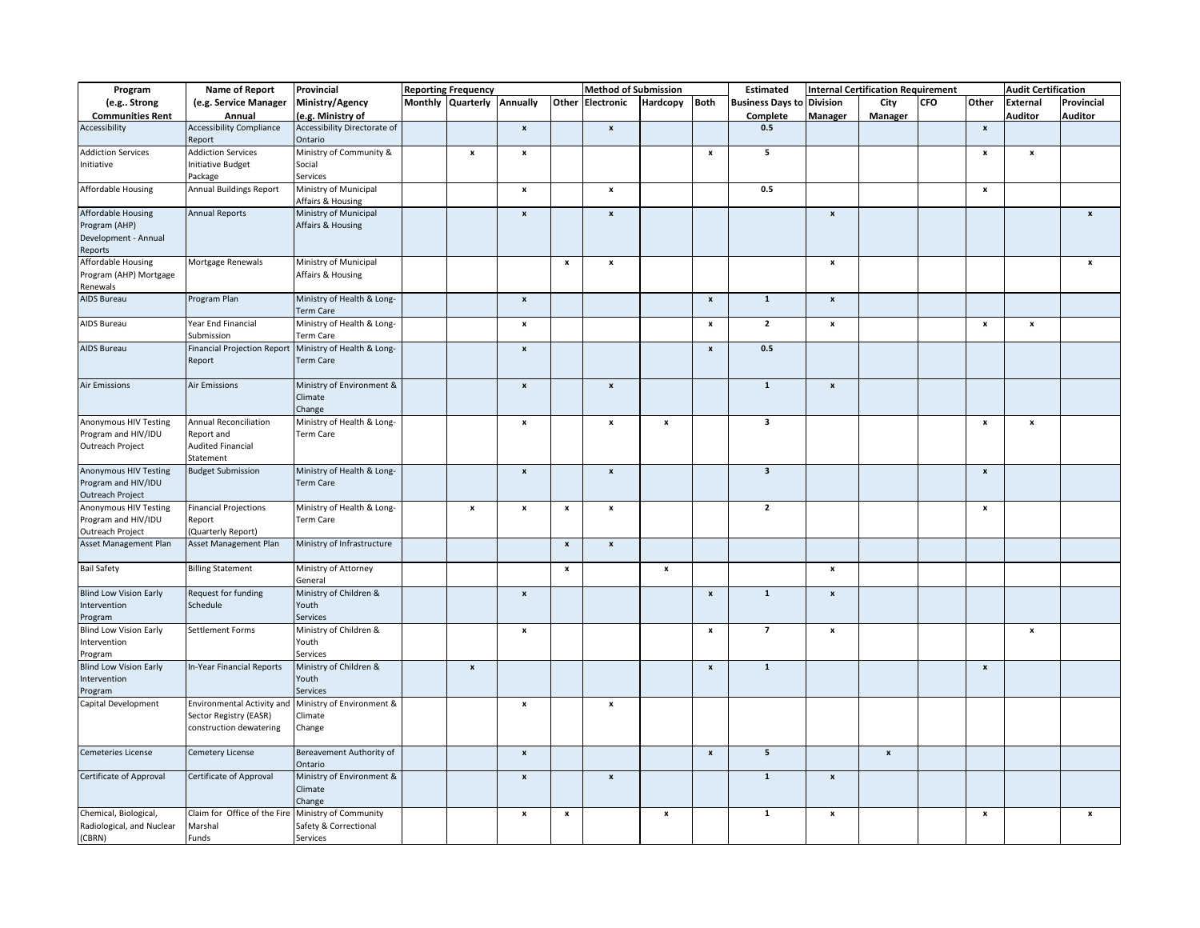| Program                                                                 | <b>Name of Report</b>                             | Provincial                                     | <b>Reporting Frequency</b> |                           |                    | <b>Method of Submission</b> |                    |                           | Estimated                        |                           | <b>Internal Certification Requirement</b> |            |                           | <b>Audit Certification</b> |                    |
|-------------------------------------------------------------------------|---------------------------------------------------|------------------------------------------------|----------------------------|---------------------------|--------------------|-----------------------------|--------------------|---------------------------|----------------------------------|---------------------------|-------------------------------------------|------------|---------------------------|----------------------------|--------------------|
| (e.g Strong                                                             | (e.g. Service Manager                             | Ministry/Agency                                | Monthly Quarterly Annually |                           |                    | Other Electronic            | Hardcopy           | Both                      | <b>Business Days to Division</b> |                           | City                                      | <b>CFO</b> | Other                     | External                   | Provincial         |
| <b>Communities Rent</b>                                                 | Annual                                            | (e.g. Ministry of                              |                            |                           |                    |                             |                    |                           | Complete                         | Manager                   | Manager                                   |            |                           | <b>Auditor</b>             | <b>Auditor</b>     |
| Accessibility                                                           | <b>Accessibility Compliance</b>                   | Accessibility Directorate of                   |                            | $\pmb{\mathsf{x}}$        |                    | $\pmb{\mathsf{x}}$          |                    |                           | 0.5                              |                           |                                           |            | $\pmb{\mathsf{x}}$        |                            |                    |
|                                                                         | Report                                            | Ontario                                        |                            |                           |                    |                             |                    |                           |                                  |                           |                                           |            |                           |                            |                    |
| <b>Addiction Services</b>                                               | <b>Addiction Services</b>                         | Ministry of Community &                        | $\pmb{\mathsf{x}}$         | $\pmb{\mathsf{x}}$        |                    |                             |                    | $\pmb{\mathsf{x}}$        | $\overline{\mathbf{5}}$          |                           |                                           |            | $\boldsymbol{\mathsf{x}}$ | $\pmb{\mathsf{x}}$         |                    |
| Initiative                                                              | <b>Initiative Budget</b>                          | Social                                         |                            |                           |                    |                             |                    |                           |                                  |                           |                                           |            |                           |                            |                    |
|                                                                         | Package                                           | Services                                       |                            |                           |                    |                             |                    |                           |                                  |                           |                                           |            |                           |                            |                    |
| Affordable Housing                                                      | Annual Buildings Report                           | Ministry of Municipal<br>Affairs & Housing     |                            | $\pmb{\mathsf{x}}$        |                    | $\pmb{\mathsf{x}}$          |                    |                           | 0.5                              |                           |                                           |            | $\pmb{\mathsf{x}}$        |                            |                    |
| Affordable Housing                                                      | <b>Annual Reports</b>                             | Ministry of Municipal                          |                            | $\mathbf{x}$              |                    | $\pmb{\mathsf{x}}$          |                    |                           |                                  | $\pmb{\mathsf{x}}$        |                                           |            |                           |                            | $\pmb{\mathsf{x}}$ |
| Program (AHP)<br>Development - Annual<br>Reports                        |                                                   | Affairs & Housing                              |                            |                           |                    |                             |                    |                           |                                  |                           |                                           |            |                           |                            |                    |
| <b>Affordable Housing</b>                                               | Mortgage Renewals                                 | Ministry of Municipal                          |                            |                           | $\pmb{\mathsf{x}}$ | $\pmb{\mathsf{x}}$          |                    |                           |                                  | $\pmb{\mathsf{x}}$        |                                           |            |                           |                            | $\pmb{\mathsf{x}}$ |
| Program (AHP) Mortgage<br>Renewals                                      |                                                   | Affairs & Housing                              |                            |                           |                    |                             |                    |                           |                                  |                           |                                           |            |                           |                            |                    |
| AIDS Bureau                                                             | Program Plan                                      | Ministry of Health & Long-<br>Term Care        |                            | $\pmb{\mathsf{x}}$        |                    |                             |                    | $\boldsymbol{x}$          | $\mathbf 1$                      | $\pmb{\mathsf{x}}$        |                                           |            |                           |                            |                    |
| AIDS Bureau                                                             | Year End Financial<br>Submission                  | Ministry of Health & Long-<br>Term Care        |                            | $\pmb{\mathsf{x}}$        |                    |                             |                    | $\pmb{\mathsf{x}}$        | $\overline{2}$                   | $\pmb{\mathsf{x}}$        |                                           |            | $\pmb{\mathsf{x}}$        | $\pmb{\mathsf{x}}$         |                    |
| <b>AIDS Bureau</b>                                                      | <b>Financial Projection Report</b><br>Report      | Ministry of Health & Long-<br><b>Term Care</b> |                            | $\mathbf{x}$              |                    |                             |                    | $\mathbf{x}$              | 0.5                              |                           |                                           |            |                           |                            |                    |
| <b>Air Emissions</b>                                                    | <b>Air Emissions</b>                              | Ministry of Environment &<br>Climate<br>Change |                            | $\pmb{\mathsf{x}}$        |                    | $\pmb{\mathsf{x}}$          |                    |                           | $\mathbf{1}$                     | $\pmb{\mathsf{x}}$        |                                           |            |                           |                            |                    |
| <b>Anonymous HIV Testing</b>                                            | Annual Reconciliation                             | Ministry of Health & Long-                     |                            | $\pmb{\mathsf{x}}$        |                    | $\pmb{\mathsf{x}}$          | $\pmb{\mathsf{x}}$ |                           | $\overline{\mathbf{3}}$          |                           |                                           |            | $\boldsymbol{\mathsf{x}}$ | $\pmb{\mathsf{x}}$         |                    |
| Program and HIV/IDU                                                     | Report and                                        | <b>Term Care</b>                               |                            |                           |                    |                             |                    |                           |                                  |                           |                                           |            |                           |                            |                    |
| Outreach Project                                                        | <b>Audited Financial</b><br>Statement             |                                                |                            |                           |                    |                             |                    |                           |                                  |                           |                                           |            |                           |                            |                    |
| Anonymous HIV Testing<br>Program and HIV/IDU<br><b>Outreach Project</b> | <b>Budget Submission</b>                          | Ministry of Health & Long-<br>Term Care        |                            | $\pmb{\mathsf{x}}$        |                    | $\pmb{\mathsf{x}}$          |                    |                           | $\overline{\mathbf{3}}$          |                           |                                           |            | $\boldsymbol{\mathsf{x}}$ |                            |                    |
| Anonymous HIV Testing                                                   | <b>Financial Projections</b>                      | Ministry of Health & Long-                     | $\pmb{\mathsf{x}}$         | $\pmb{\mathsf{x}}$        | $\pmb{\mathsf{x}}$ | $\pmb{\mathsf{x}}$          |                    |                           | $\overline{2}$                   |                           |                                           |            | $\pmb{\mathsf{x}}$        |                            |                    |
| Program and HIV/IDU                                                     | Report                                            | Term Care                                      |                            |                           |                    |                             |                    |                           |                                  |                           |                                           |            |                           |                            |                    |
| Outreach Project                                                        | (Quarterly Report)                                |                                                |                            |                           |                    |                             |                    |                           |                                  |                           |                                           |            |                           |                            |                    |
| Asset Management Plan                                                   | Asset Management Plan                             | Ministry of Infrastructure                     |                            |                           | $\pmb{\mathsf{x}}$ | $\pmb{\mathsf{x}}$          |                    |                           |                                  |                           |                                           |            |                           |                            |                    |
| <b>Bail Safety</b>                                                      | <b>Billing Statement</b>                          | Ministry of Attorney<br>General                |                            |                           | $\pmb{\mathsf{x}}$ |                             | $\pmb{\mathsf{x}}$ |                           |                                  | $\pmb{\mathsf{x}}$        |                                           |            |                           |                            |                    |
| <b>Blind Low Vision Early</b>                                           | Request for funding                               | Ministry of Children &                         |                            | $\pmb{\mathsf{x}}$        |                    |                             |                    | $\pmb{\mathsf{x}}$        | $\mathbf 1$                      | $\boldsymbol{\mathsf{x}}$ |                                           |            |                           |                            |                    |
| Intervention                                                            | Schedule                                          | Youth                                          |                            |                           |                    |                             |                    |                           |                                  |                           |                                           |            |                           |                            |                    |
| Program                                                                 |                                                   | Services                                       |                            |                           |                    |                             |                    |                           |                                  |                           |                                           |            |                           |                            |                    |
| <b>Blind Low Vision Early</b>                                           | Settlement Forms                                  | Ministry of Children &                         |                            | $\pmb{\mathsf{x}}$        |                    |                             |                    | $\boldsymbol{\mathsf{x}}$ | $\overline{7}$                   | $\pmb{\times}$            |                                           |            |                           | $\boldsymbol{x}$           |                    |
| Intervention<br>Program                                                 |                                                   | Youth<br>Services                              |                            |                           |                    |                             |                    |                           |                                  |                           |                                           |            |                           |                            |                    |
| <b>Blind Low Vision Early</b>                                           | In-Year Financial Reports                         | Ministry of Children &                         | $\pmb{\mathsf{x}}$         |                           |                    |                             |                    | $\pmb{\mathsf{x}}$        | $\mathbf 1$                      |                           |                                           |            | $\pmb{\mathsf{x}}$        |                            |                    |
| Intervention                                                            |                                                   | Youth                                          |                            |                           |                    |                             |                    |                           |                                  |                           |                                           |            |                           |                            |                    |
| Program                                                                 |                                                   | Services                                       |                            |                           |                    |                             |                    |                           |                                  |                           |                                           |            |                           |                            |                    |
| Capital Development                                                     | <b>Environmental Activity and</b>                 | Ministry of Environment &                      |                            | $\boldsymbol{\mathsf{x}}$ |                    | $\pmb{\mathsf{x}}$          |                    |                           |                                  |                           |                                           |            |                           |                            |                    |
|                                                                         | Sector Registry (EASR)<br>construction dewatering | Climate<br>Change                              |                            |                           |                    |                             |                    |                           |                                  |                           |                                           |            |                           |                            |                    |
| Cemeteries License                                                      | <b>Cemetery License</b>                           | Bereavement Authority of<br>Ontario            |                            | $\pmb{\mathsf{x}}$        |                    |                             |                    | $\boldsymbol{x}$          | $5\phantom{a}$                   |                           | $\pmb{\mathsf{x}}$                        |            |                           |                            |                    |
| Certificate of Approval                                                 | Certificate of Approval                           | Ministry of Environment &                      |                            | $\boldsymbol{\mathsf{x}}$ |                    | $\pmb{\mathsf{x}}$          |                    |                           | $\mathbf 1$                      | $\boldsymbol{x}$          |                                           |            |                           |                            |                    |
|                                                                         |                                                   | Climate<br>Change                              |                            |                           |                    |                             |                    |                           |                                  |                           |                                           |            |                           |                            |                    |
| Chemical, Biological,                                                   | Claim for Office of the Fire                      | Ministry of Community                          |                            | $\pmb{\mathsf{x}}$        | $\pmb{\mathsf{x}}$ |                             | $\pmb{\mathsf{x}}$ |                           | $\mathbf 1$                      | $\pmb{\mathsf{x}}$        |                                           |            | $\pmb{\mathsf{x}}$        |                            | $\pmb{\mathsf{x}}$ |
| Radiological, and Nuclear                                               | Marshal                                           | Safety & Correctional                          |                            |                           |                    |                             |                    |                           |                                  |                           |                                           |            |                           |                            |                    |
| (CBRN)                                                                  | Funds                                             | Services                                       |                            |                           |                    |                             |                    |                           |                                  |                           |                                           |            |                           |                            |                    |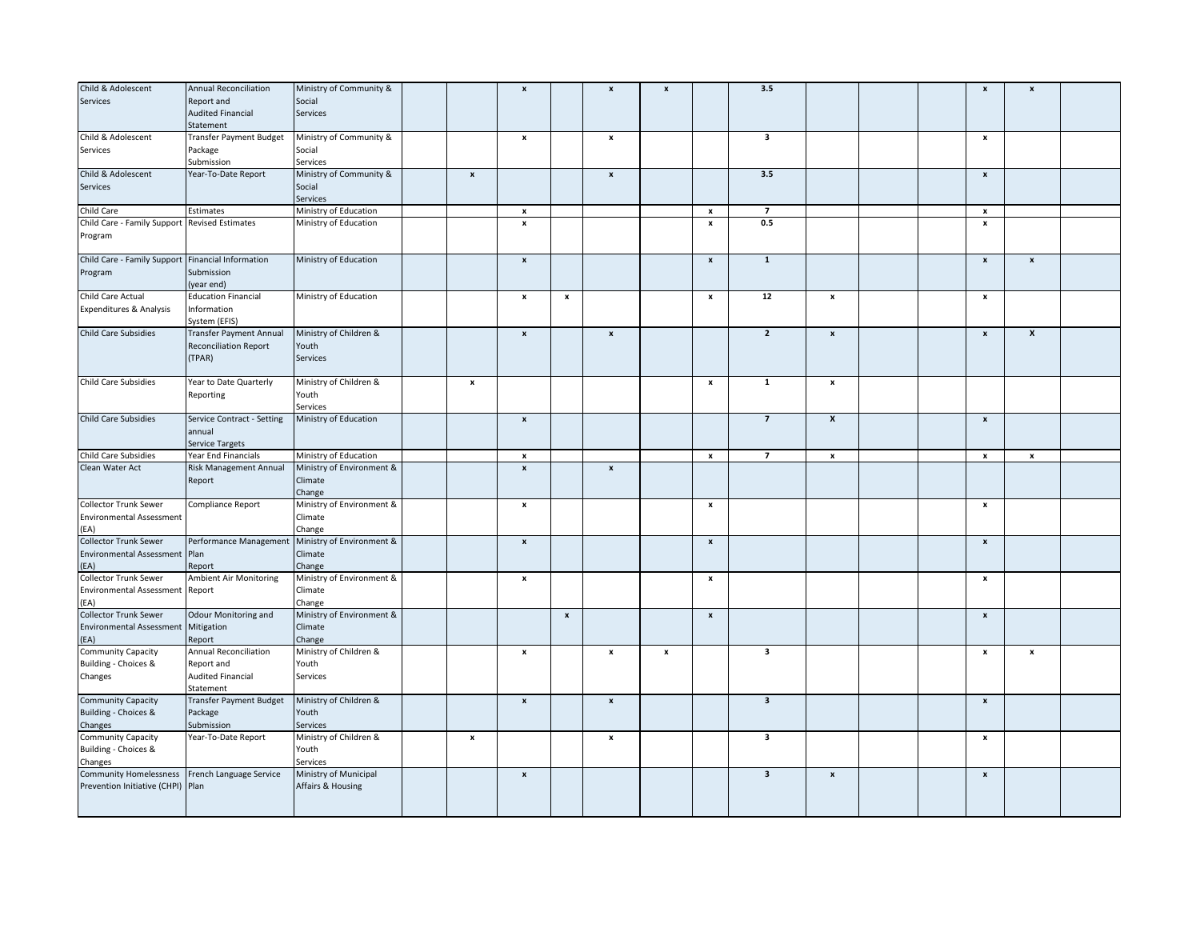| Child & Adolescent                                | <b>Annual Reconciliation</b> | Ministry of Community &   |                           | $\boldsymbol{x}$   |                    | $\pmb{\mathsf{x}}$ | $\pmb{\mathsf{x}}$ |                    | 3.5                     |                    |  | $\boldsymbol{\mathsf{x}}$ | $\pmb{\mathsf{x}}$ |  |
|---------------------------------------------------|------------------------------|---------------------------|---------------------------|--------------------|--------------------|--------------------|--------------------|--------------------|-------------------------|--------------------|--|---------------------------|--------------------|--|
| Services                                          | Report and                   | Social                    |                           |                    |                    |                    |                    |                    |                         |                    |  |                           |                    |  |
|                                                   | <b>Audited Financial</b>     | Services                  |                           |                    |                    |                    |                    |                    |                         |                    |  |                           |                    |  |
|                                                   |                              |                           |                           |                    |                    |                    |                    |                    |                         |                    |  |                           |                    |  |
|                                                   | Statement                    |                           |                           |                    |                    |                    |                    |                    |                         |                    |  |                           |                    |  |
| Child & Adolescent                                | Transfer Payment Budget      | Ministry of Community &   |                           | $\pmb{\mathsf{x}}$ |                    | $\pmb{\mathsf{x}}$ |                    |                    | 3                       |                    |  | $\boldsymbol{\mathsf{x}}$ |                    |  |
| Services                                          | Package                      | Social                    |                           |                    |                    |                    |                    |                    |                         |                    |  |                           |                    |  |
|                                                   | Submission                   | Services                  |                           |                    |                    |                    |                    |                    |                         |                    |  |                           |                    |  |
| Child & Adolescent                                | Year-To-Date Report          | Ministry of Community &   | $\pmb{\mathsf{x}}$        |                    |                    | $\pmb{\mathsf{x}}$ |                    |                    | 3.5                     |                    |  | $\pmb{\mathsf{x}}$        |                    |  |
| Services                                          |                              | Social                    |                           |                    |                    |                    |                    |                    |                         |                    |  |                           |                    |  |
|                                                   |                              | Services                  |                           |                    |                    |                    |                    |                    |                         |                    |  |                           |                    |  |
| Child Care                                        | Estimates                    | Ministry of Education     |                           | x                  |                    |                    |                    | $\pmb{\mathsf{x}}$ | $\overline{7}$          |                    |  | $\boldsymbol{\mathsf{x}}$ |                    |  |
| Child Care - Family Support Revised Estimates     |                              | Ministry of Education     |                           | $\pmb{\mathsf{x}}$ |                    |                    |                    | $\pmb{\mathsf{x}}$ | 0.5                     |                    |  | $\boldsymbol{\mathsf{x}}$ |                    |  |
| Program                                           |                              |                           |                           |                    |                    |                    |                    |                    |                         |                    |  |                           |                    |  |
|                                                   |                              |                           |                           |                    |                    |                    |                    |                    |                         |                    |  |                           |                    |  |
| Child Care - Family Support Financial Information |                              | Ministry of Education     |                           | $\pmb{\mathsf{x}}$ |                    |                    |                    | $\pmb{\mathsf{x}}$ | $\mathbf{1}$            |                    |  | $\pmb{\mathsf{x}}$        |                    |  |
|                                                   |                              |                           |                           |                    |                    |                    |                    |                    |                         |                    |  |                           | $\pmb{\mathsf{x}}$ |  |
| Program                                           | Submission                   |                           |                           |                    |                    |                    |                    |                    |                         |                    |  |                           |                    |  |
|                                                   | (year end)                   |                           |                           |                    |                    |                    |                    |                    |                         |                    |  |                           |                    |  |
| Child Care Actual                                 | <b>Education Financial</b>   | Ministry of Education     |                           | $\pmb{\mathsf{x}}$ | $\pmb{\mathsf{x}}$ |                    |                    | $\pmb{\mathsf{x}}$ | 12                      | $\pmb{\mathsf{x}}$ |  | $\boldsymbol{\mathsf{x}}$ |                    |  |
| Expenditures & Analysis                           | Information                  |                           |                           |                    |                    |                    |                    |                    |                         |                    |  |                           |                    |  |
|                                                   | System (EFIS)                |                           |                           |                    |                    |                    |                    |                    |                         |                    |  |                           |                    |  |
| <b>Child Care Subsidies</b>                       | Transfer Payment Annual      | Ministry of Children &    |                           | $\mathbf{x}$       |                    | $\pmb{\mathsf{x}}$ |                    |                    | $\overline{2}$          | $\pmb{\mathsf{x}}$ |  | $\mathbf{x}$              | $\boldsymbol{x}$   |  |
|                                                   | <b>Reconciliation Report</b> | Youth                     |                           |                    |                    |                    |                    |                    |                         |                    |  |                           |                    |  |
|                                                   | (TPAR)                       | <b>Services</b>           |                           |                    |                    |                    |                    |                    |                         |                    |  |                           |                    |  |
|                                                   |                              |                           |                           |                    |                    |                    |                    |                    |                         |                    |  |                           |                    |  |
| Child Care Subsidies                              | Year to Date Quarterly       | Ministry of Children &    | $\pmb{\mathsf{x}}$        |                    |                    |                    |                    | $\pmb{\mathsf{x}}$ | $\mathbf{1}$            | $\pmb{\mathsf{x}}$ |  |                           |                    |  |
|                                                   |                              | Youth                     |                           |                    |                    |                    |                    |                    |                         |                    |  |                           |                    |  |
|                                                   | Reporting                    |                           |                           |                    |                    |                    |                    |                    |                         |                    |  |                           |                    |  |
|                                                   |                              | Services                  |                           |                    |                    |                    |                    |                    |                         |                    |  |                           |                    |  |
| Child Care Subsidies                              | Service Contract - Setting   | Ministry of Education     |                           | $\pmb{\mathsf{x}}$ |                    |                    |                    |                    | $\overline{7}$          | $\pmb{\chi}$       |  | $\pmb{\mathsf{x}}$        |                    |  |
|                                                   | annual                       |                           |                           |                    |                    |                    |                    |                    |                         |                    |  |                           |                    |  |
|                                                   | Service Targets              |                           |                           |                    |                    |                    |                    |                    |                         |                    |  |                           |                    |  |
|                                                   |                              |                           |                           |                    |                    |                    |                    |                    |                         |                    |  |                           |                    |  |
| Child Care Subsidies                              | Year End Financials          | Ministry of Education     |                           | x                  |                    |                    |                    | $\pmb{\mathsf{x}}$ | $\overline{7}$          | x                  |  | $\boldsymbol{\mathsf{x}}$ | $\pmb{\mathsf{x}}$ |  |
| Clean Water Act                                   | Risk Management Annual       | Ministry of Environment & |                           | $\pmb{\mathsf{x}}$ |                    | $\pmb{\mathsf{x}}$ |                    |                    |                         |                    |  |                           |                    |  |
|                                                   | Report                       | Climate                   |                           |                    |                    |                    |                    |                    |                         |                    |  |                           |                    |  |
|                                                   |                              |                           |                           |                    |                    |                    |                    |                    |                         |                    |  |                           |                    |  |
|                                                   |                              | Change                    |                           |                    |                    |                    |                    |                    |                         |                    |  |                           |                    |  |
| <b>Collector Trunk Sewer</b>                      | Compliance Report            | Ministry of Environment & |                           | x                  |                    |                    |                    | x                  |                         |                    |  | x                         |                    |  |
| <b>Environmental Assessment</b>                   |                              | Climate                   |                           |                    |                    |                    |                    |                    |                         |                    |  |                           |                    |  |
| (EA)                                              |                              | Change                    |                           |                    |                    |                    |                    |                    |                         |                    |  |                           |                    |  |
| <b>Collector Trunk Sewer</b>                      | Performance Management       | Ministry of Environment & |                           | $\pmb{\times}$     |                    |                    |                    | $\pmb{\mathsf{x}}$ |                         |                    |  | $\pmb{\mathsf{x}}$        |                    |  |
| Environmental Assessment Plan                     |                              | Climate                   |                           |                    |                    |                    |                    |                    |                         |                    |  |                           |                    |  |
| (EA)                                              | Report                       | Change                    |                           |                    |                    |                    |                    |                    |                         |                    |  |                           |                    |  |
| Collector Trunk Sewer                             | Ambient Air Monitoring       | Ministry of Environment & |                           | x                  |                    |                    |                    | x                  |                         |                    |  | x                         |                    |  |
| Environmental Assessment Report                   |                              | Climate                   |                           |                    |                    |                    |                    |                    |                         |                    |  |                           |                    |  |
| (EA)                                              |                              | Change                    |                           |                    |                    |                    |                    |                    |                         |                    |  |                           |                    |  |
| Collector Trunk Sewer                             | <b>Odour Monitoring and</b>  | Ministry of Environment & |                           |                    | $\pmb{\mathsf{x}}$ |                    |                    | $\pmb{\mathsf{x}}$ |                         |                    |  | $\pmb{\mathsf{x}}$        |                    |  |
|                                                   |                              | Climate                   |                           |                    |                    |                    |                    |                    |                         |                    |  |                           |                    |  |
| Environmental Assessment Mitigation               |                              |                           |                           |                    |                    |                    |                    |                    |                         |                    |  |                           |                    |  |
| (EA)                                              | Report                       | Change                    |                           |                    |                    |                    |                    |                    |                         |                    |  |                           |                    |  |
| <b>Community Capacity</b>                         | Annual Reconciliation        | Ministry of Children &    |                           | x                  |                    | $\boldsymbol{x}$   | x                  |                    | $\overline{\mathbf{3}}$ |                    |  | x                         | x                  |  |
| Building - Choices &                              | Report and                   | Youth                     |                           |                    |                    |                    |                    |                    |                         |                    |  |                           |                    |  |
| Changes                                           | <b>Audited Financial</b>     | Services                  |                           |                    |                    |                    |                    |                    |                         |                    |  |                           |                    |  |
|                                                   | Statement                    |                           |                           |                    |                    |                    |                    |                    |                         |                    |  |                           |                    |  |
| <b>Community Capacity</b>                         | Transfer Payment Budget      | Ministry of Children &    |                           | $\pmb{\mathsf{x}}$ |                    | $\pmb{\mathsf{x}}$ |                    |                    | $\overline{\mathbf{3}}$ |                    |  | $\pmb{\mathsf{x}}$        |                    |  |
| Building - Choices &                              | Package                      | Youth                     |                           |                    |                    |                    |                    |                    |                         |                    |  |                           |                    |  |
| Changes                                           | Submission                   | Services                  |                           |                    |                    |                    |                    |                    |                         |                    |  |                           |                    |  |
| Community Capacity                                | Year-To-Date Report          | Ministry of Children &    | $\boldsymbol{\mathsf{x}}$ |                    |                    | $\boldsymbol{x}$   |                    |                    | 3                       |                    |  | $\boldsymbol{\mathsf{x}}$ |                    |  |
| Building - Choices &                              |                              | Youth                     |                           |                    |                    |                    |                    |                    |                         |                    |  |                           |                    |  |
| Changes                                           |                              | Services                  |                           |                    |                    |                    |                    |                    |                         |                    |  |                           |                    |  |
| <b>Community Homelessness</b>                     | French Language Service      | Ministry of Municipal     |                           | $\pmb{\mathsf{x}}$ |                    |                    |                    |                    | $\overline{\mathbf{3}}$ | $\pmb{\mathsf{x}}$ |  | $\pmb{\mathsf{x}}$        |                    |  |
| Prevention Initiative (CHPI)                      | Plan                         | Affairs & Housing         |                           |                    |                    |                    |                    |                    |                         |                    |  |                           |                    |  |
|                                                   |                              |                           |                           |                    |                    |                    |                    |                    |                         |                    |  |                           |                    |  |
|                                                   |                              |                           |                           |                    |                    |                    |                    |                    |                         |                    |  |                           |                    |  |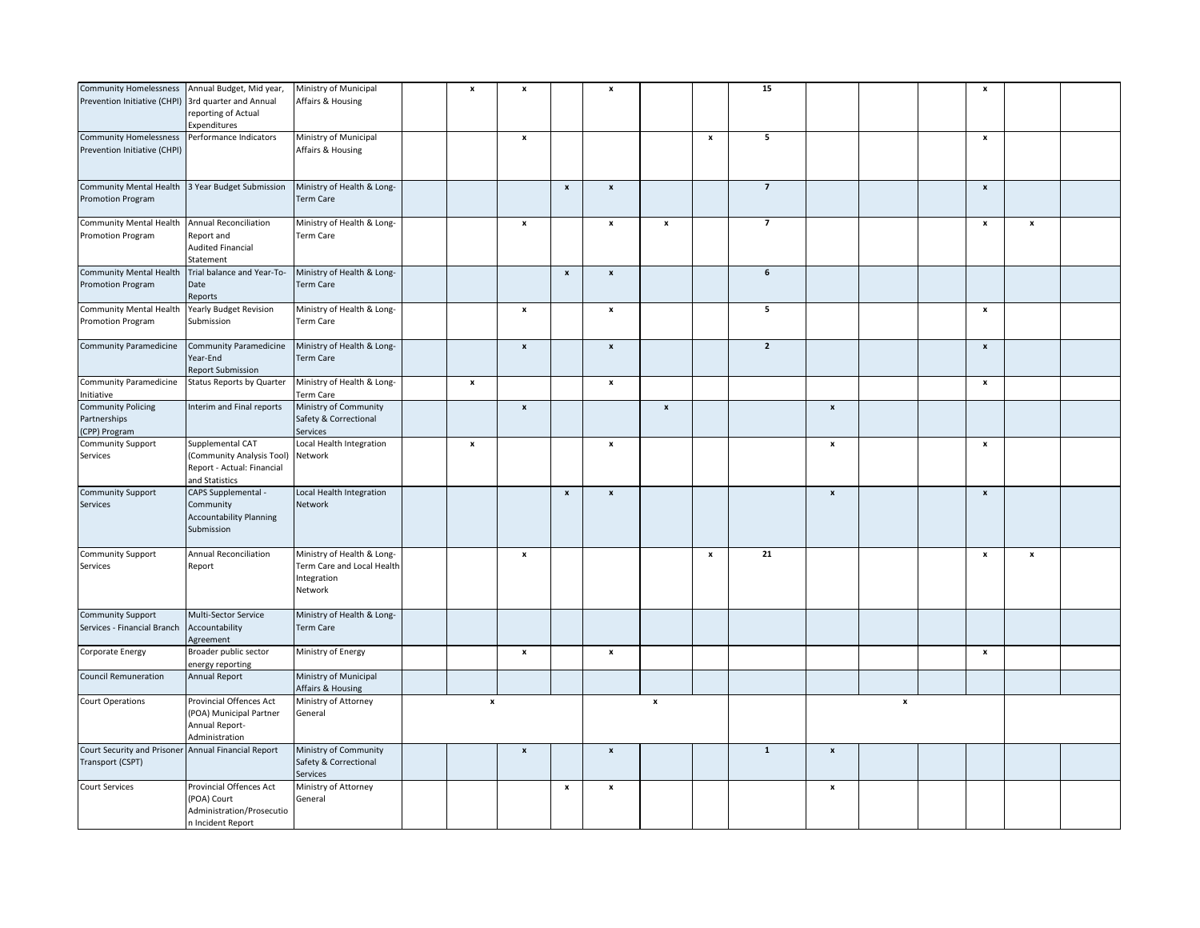| <b>Community Homelessness</b><br>Prevention Initiative (CHPI)           | Annual Budget, Mid year,<br>3rd quarter and Annual<br>reporting of Actual<br>Expenditures     | Ministry of Municipal<br>Affairs & Housing                                         | $\boldsymbol{\mathsf{x}}$ | $\pmb{\mathsf{x}}$        |                           | $\pmb{\mathsf{x}}$        |                    |                    | 15               |                           |                    | x                         |                    |  |
|-------------------------------------------------------------------------|-----------------------------------------------------------------------------------------------|------------------------------------------------------------------------------------|---------------------------|---------------------------|---------------------------|---------------------------|--------------------|--------------------|------------------|---------------------------|--------------------|---------------------------|--------------------|--|
|                                                                         |                                                                                               |                                                                                    |                           |                           |                           |                           |                    |                    |                  |                           |                    |                           |                    |  |
| <b>Community Homelessness</b><br>Prevention Initiative (CHPI)           | Performance Indicators                                                                        | Ministry of Municipal<br>Affairs & Housing                                         |                           | $\pmb{\mathsf{x}}$        |                           |                           |                    | $\pmb{\mathsf{x}}$ | 5                |                           |                    | $\pmb{\mathsf{x}}$        |                    |  |
| <b>Community Mental Health</b><br><b>Promotion Program</b>              | 3 Year Budget Submission                                                                      | Ministry of Health & Long-<br><b>Term Care</b>                                     |                           |                           | $\boldsymbol{\mathsf{x}}$ | $\pmb{\mathsf{x}}$        |                    |                    | $\overline{7}$   |                           |                    | $\pmb{\mathsf{x}}$        |                    |  |
| <b>Community Mental Health</b><br>Promotion Program                     | <b>Annual Reconciliation</b><br>Report and<br><b>Audited Financial</b><br>Statement           | Ministry of Health & Long-<br>Term Care                                            |                           | $\pmb{\mathsf{x}}$        |                           | $\pmb{\mathsf{x}}$        | $\pmb{\mathsf{x}}$ |                    | $\overline{7}$   |                           |                    | $\pmb{\mathsf{x}}$        | $\pmb{\mathsf{x}}$ |  |
| <b>Community Mental Health</b><br><b>Promotion Program</b>              | Trial balance and Year-To-<br>Date<br>Reports                                                 | Ministry of Health & Long-<br><b>Term Care</b>                                     |                           |                           | $\pmb{\mathsf{x}}$        | $\pmb{\mathsf{x}}$        |                    |                    | $\boldsymbol{6}$ |                           |                    |                           |                    |  |
| Community Mental Health<br>Promotion Program                            | <b>Yearly Budget Revision</b><br>Submission                                                   | Ministry of Health & Long-<br>Term Care                                            |                           | $\pmb{\mathsf{x}}$        |                           | $\boldsymbol{\mathsf{x}}$ |                    |                    | 5                |                           |                    | $\pmb{\mathsf{x}}$        |                    |  |
| Community Paramedicine                                                  | <b>Community Paramedicine</b><br>Year-End<br><b>Report Submission</b>                         | Ministry of Health & Long-<br>Term Care                                            |                           | $\pmb{\mathsf{x}}$        |                           | $\pmb{\mathsf{x}}$        |                    |                    | $\overline{2}$   |                           |                    | $\pmb{\mathsf{x}}$        |                    |  |
| <b>Community Paramedicine</b><br>Initiative                             | Status Reports by Quarter                                                                     | Ministry of Health & Long-<br>Term Care                                            | $\pmb{\times}$            |                           |                           | $\pmb{\mathsf{x}}$        |                    |                    |                  |                           |                    | $\pmb{\mathsf{x}}$        |                    |  |
| <b>Community Policing</b><br>Partnerships<br>CPP) Program               | Interim and Final reports                                                                     | Ministry of Community<br>Safety & Correctional<br>Services                         |                           | $\pmb{\mathsf{x}}$        |                           |                           | $\pmb{\mathsf{x}}$ |                    |                  | $\boldsymbol{\mathsf{x}}$ |                    |                           |                    |  |
| <b>Community Support</b><br>Services                                    | Supplemental CAT<br>(Community Analysis Tool)<br>Report - Actual: Financial<br>and Statistics | Local Health Integration<br>Network                                                | $\pmb{\mathsf{x}}$        |                           |                           | $\pmb{\mathsf{x}}$        |                    |                    |                  | $\boldsymbol{\mathsf{x}}$ |                    | x                         |                    |  |
| <b>Community Support</b><br>Services                                    | CAPS Supplemental -<br>Community<br><b>Accountability Planning</b><br>Submission              | Local Health Integration<br>Network                                                |                           |                           | $\boldsymbol{\mathsf{x}}$ | $\pmb{\mathsf{x}}$        |                    |                    |                  | $\boldsymbol{\mathsf{x}}$ |                    | $\boldsymbol{x}$          |                    |  |
| <b>Community Support</b><br>Services                                    | Annual Reconciliation<br>Report                                                               | Ministry of Health & Long-<br>Term Care and Local Health<br>Integration<br>Network |                           | $\boldsymbol{\mathsf{x}}$ |                           |                           |                    | $\pmb{\mathsf{x}}$ | 21               |                           |                    | $\boldsymbol{\mathsf{x}}$ | $\boldsymbol{x}$   |  |
| <b>Community Support</b><br>Services - Financial Branch                 | Multi-Sector Service<br>Accountability<br>Agreement                                           | Ministry of Health & Long-<br><b>Term Care</b>                                     |                           |                           |                           |                           |                    |                    |                  |                           |                    |                           |                    |  |
| Corporate Energy                                                        | Broader public sector<br>energy reporting                                                     | Ministry of Energy                                                                 |                           | $\pmb{\mathsf{x}}$        |                           | $\boldsymbol{\mathsf{x}}$ |                    |                    |                  |                           |                    | $\pmb{\mathsf{x}}$        |                    |  |
| <b>Council Remuneration</b>                                             | <b>Annual Report</b>                                                                          | Ministry of Municipal<br>Affairs & Housing                                         |                           |                           |                           |                           |                    |                    |                  |                           |                    |                           |                    |  |
| <b>Court Operations</b>                                                 | Provincial Offences Act<br>(POA) Municipal Partner<br>Annual Report-<br>Administration        | Ministry of Attorney<br>General                                                    | $\pmb{\mathsf{x}}$        |                           |                           |                           | $\pmb{\mathsf{x}}$ |                    |                  |                           | $\pmb{\mathsf{x}}$ |                           |                    |  |
| Court Security and Prisoner Annual Financial Report<br>Transport (CSPT) |                                                                                               | Ministry of Community<br>Safety & Correctional<br>Services                         |                           | $\pmb{\mathsf{x}}$        |                           | $\boldsymbol{x}$          |                    |                    | $\mathbf{1}$     | $\boldsymbol{\mathsf{x}}$ |                    |                           |                    |  |
| <b>Court Services</b>                                                   | Provincial Offences Act<br>(POA) Court<br>Administration/Prosecutio<br>n Incident Report      | Ministry of Attorney<br>General                                                    |                           |                           | $\pmb{\times}$            | $\pmb{\mathsf{x}}$        |                    |                    |                  | $\pmb{\mathsf{x}}$        |                    |                           |                    |  |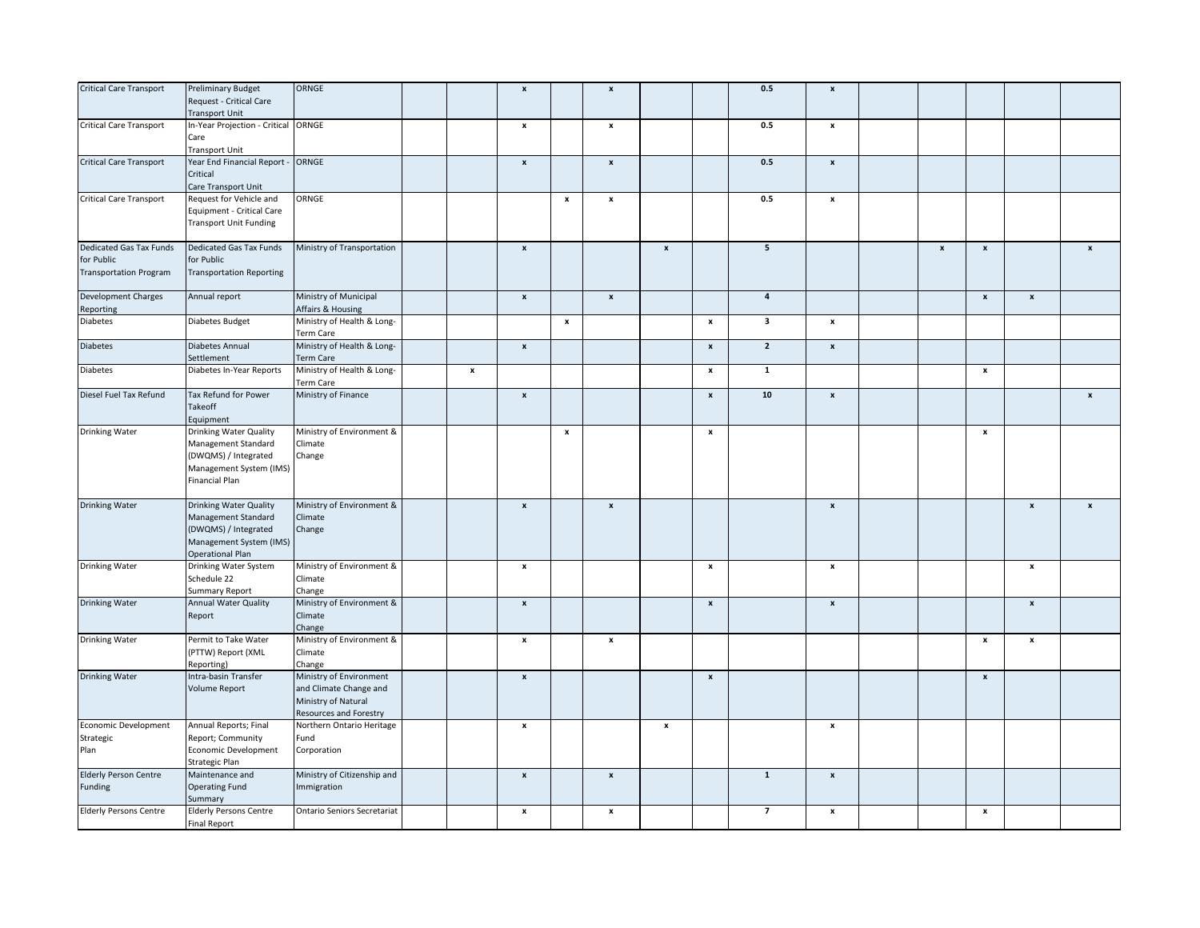| <b>Critical Care Transport</b>                                         | <b>Preliminary Budget</b><br>Request - Critical Care<br><b>Transport Unit</b>                                               | ORNGE                                                                                                     |                    | $\pmb{\mathsf{x}}$ |                    | $\pmb{\mathsf{x}}$ |                    |                    | $0.5\,$                 | $\pmb{\mathsf{x}}$        |                    |                           |                           |                    |
|------------------------------------------------------------------------|-----------------------------------------------------------------------------------------------------------------------------|-----------------------------------------------------------------------------------------------------------|--------------------|--------------------|--------------------|--------------------|--------------------|--------------------|-------------------------|---------------------------|--------------------|---------------------------|---------------------------|--------------------|
| <b>Critical Care Transport</b>                                         | In-Year Projection - Critical ORNGE<br>Care<br>Transport Unit                                                               |                                                                                                           |                    | x                  |                    | $\pmb{\mathsf{x}}$ |                    |                    | $0.5\,$                 | x                         |                    |                           |                           |                    |
| <b>Critical Care Transport</b>                                         | Year End Financial Report - ORNGE<br>Critical<br>Care Transport Unit                                                        |                                                                                                           |                    | $\mathbf{x}$       |                    | $\pmb{\mathsf{x}}$ |                    |                    | 0.5                     | $\pmb{\mathsf{x}}$        |                    |                           |                           |                    |
| <b>Critical Care Transport</b>                                         | Request for Vehicle and<br>Equipment - Critical Care<br><b>Transport Unit Funding</b>                                       | ORNGE                                                                                                     |                    |                    | $\boldsymbol{x}$   | $\pmb{\mathsf{x}}$ |                    |                    | 0.5                     | $\pmb{\mathsf{x}}$        |                    |                           |                           |                    |
| Dedicated Gas Tax Funds<br>for Public<br><b>Transportation Program</b> | Dedicated Gas Tax Funds<br>for Public<br><b>Transportation Reporting</b>                                                    | Ministry of Transportation                                                                                |                    | $\boldsymbol{x}$   |                    |                    | $\pmb{\mathsf{x}}$ |                    | $5\overline{5}$         |                           | $\pmb{\mathsf{x}}$ | $\pmb{\mathsf{x}}$        |                           | $\pmb{\mathsf{x}}$ |
| Development Charges<br>Reporting                                       | Annual report                                                                                                               | Ministry of Municipal<br>Affairs & Housing                                                                |                    | $\pmb{\mathsf{x}}$ |                    | $\pmb{\mathsf{x}}$ |                    |                    | $\overline{\mathbf{4}}$ |                           |                    | $\pmb{\mathsf{x}}$        | $\pmb{\mathsf{x}}$        |                    |
| Diabetes                                                               | Diabetes Budget                                                                                                             | Ministry of Health & Long-<br>Term Care                                                                   |                    |                    | $\pmb{\mathsf{x}}$ |                    |                    | $\pmb{\mathsf{x}}$ | 3                       | x                         |                    |                           |                           |                    |
| Diabetes                                                               | Diabetes Annual<br>Settlement                                                                                               | Ministry of Health & Long-<br><b>Term Care</b>                                                            |                    | $\pmb{\mathsf{x}}$ |                    |                    |                    | $\pmb{\mathsf{x}}$ | $\overline{2}$          | $\pmb{\mathsf{x}}$        |                    |                           |                           |                    |
| Diabetes                                                               | Diabetes In-Year Reports                                                                                                    | Ministry of Health & Long-<br><b>Term Care</b>                                                            | $\pmb{\mathsf{x}}$ |                    |                    |                    |                    | x                  | $\mathbf 1$             |                           |                    | $\boldsymbol{\mathsf{x}}$ |                           |                    |
| Diesel Fuel Tax Refund                                                 | Tax Refund for Power<br>Takeoff<br>Equipment                                                                                | Ministry of Finance                                                                                       |                    | $\pmb{\mathsf{x}}$ |                    |                    |                    | $\pmb{\mathsf{x}}$ | $10$                    | $\pmb{\mathsf{x}}$        |                    |                           |                           | $\pmb{\mathsf{x}}$ |
| Drinking Water                                                         | Drinking Water Quality<br>Management Standard<br>(DWQMS) / Integrated<br>Management System (IMS)<br>Financial Plan          | Ministry of Environment &<br>Climate<br>Change                                                            |                    |                    | $\mathbf{x}$       |                    |                    | $\pmb{\mathsf{x}}$ |                         |                           |                    | $\pmb{\mathsf{x}}$        |                           |                    |
| <b>Drinking Water</b>                                                  | Drinking Water Quality<br>Management Standard<br>(DWQMS) / Integrated<br>Management System (IMS)<br><b>Operational Plan</b> | Ministry of Environment &<br>Climate<br>Change                                                            |                    | $\pmb{\mathsf{x}}$ |                    | $\pmb{\mathsf{x}}$ |                    |                    |                         | $\boldsymbol{x}$          |                    |                           | $\boldsymbol{x}$          | $\pmb{\mathsf{x}}$ |
| Drinking Water                                                         | Drinking Water System<br>Schedule 22<br>Summary Report                                                                      | Ministry of Environment &<br>Climate<br>Change                                                            |                    | $\pmb{\mathsf{x}}$ |                    |                    |                    | $\pmb{\mathsf{x}}$ |                         | x                         |                    |                           | $\boldsymbol{x}$          |                    |
| <b>Drinking Water</b>                                                  | Annual Water Quality<br>Report                                                                                              | Ministry of Environment &<br>Climate<br>Change                                                            |                    | $\pmb{\mathsf{x}}$ |                    |                    |                    | $\pmb{\mathsf{x}}$ |                         | $\pmb{\mathsf{x}}$        |                    |                           | $\pmb{\mathsf{x}}$        |                    |
| Drinking Water                                                         | Permit to Take Water<br>(PTTW) Report (XML<br>Reporting)                                                                    | Ministry of Environment &<br>Climate<br>Change                                                            |                    | $\pmb{\mathsf{x}}$ |                    | $\pmb{\times}$     |                    |                    |                         |                           |                    | $\pmb{\mathsf{x}}$        | $\boldsymbol{\mathsf{x}}$ |                    |
| <b>Drinking Water</b>                                                  | Intra-basin Transfer<br><b>Volume Report</b>                                                                                | Ministry of Environment<br>and Climate Change and<br>Ministry of Natural<br><b>Resources and Forestry</b> |                    | $\pmb{\mathsf{x}}$ |                    |                    |                    | $\pmb{\mathsf{x}}$ |                         |                           |                    | $\boldsymbol{x}$          |                           |                    |
| Economic Development<br>Strategic<br>Plan                              | Annual Reports; Final<br>Report; Community<br>Economic Development<br>Strategic Plan                                        | Northern Ontario Heritage<br>Fund<br>Corporation                                                          |                    | x                  |                    |                    | x                  |                    |                         | x                         |                    |                           |                           |                    |
| <b>Elderly Person Centre</b><br>Funding                                | Maintenance and<br><b>Operating Fund</b><br>Summary                                                                         | Ministry of Citizenship and<br>Immigration                                                                |                    | $\pmb{\mathsf{x}}$ |                    | $\pmb{\mathsf{x}}$ |                    |                    | $\mathbf{1}$            | $\pmb{\mathsf{x}}$        |                    |                           |                           |                    |
| <b>Elderly Persons Centre</b>                                          | <b>Elderly Persons Centre</b><br><b>Final Report</b>                                                                        | <b>Ontario Seniors Secretariat</b>                                                                        |                    | x                  |                    | $\pmb{\mathsf{x}}$ |                    |                    | $\overline{7}$          | $\boldsymbol{\mathsf{x}}$ |                    | $\pmb{\times}$            |                           |                    |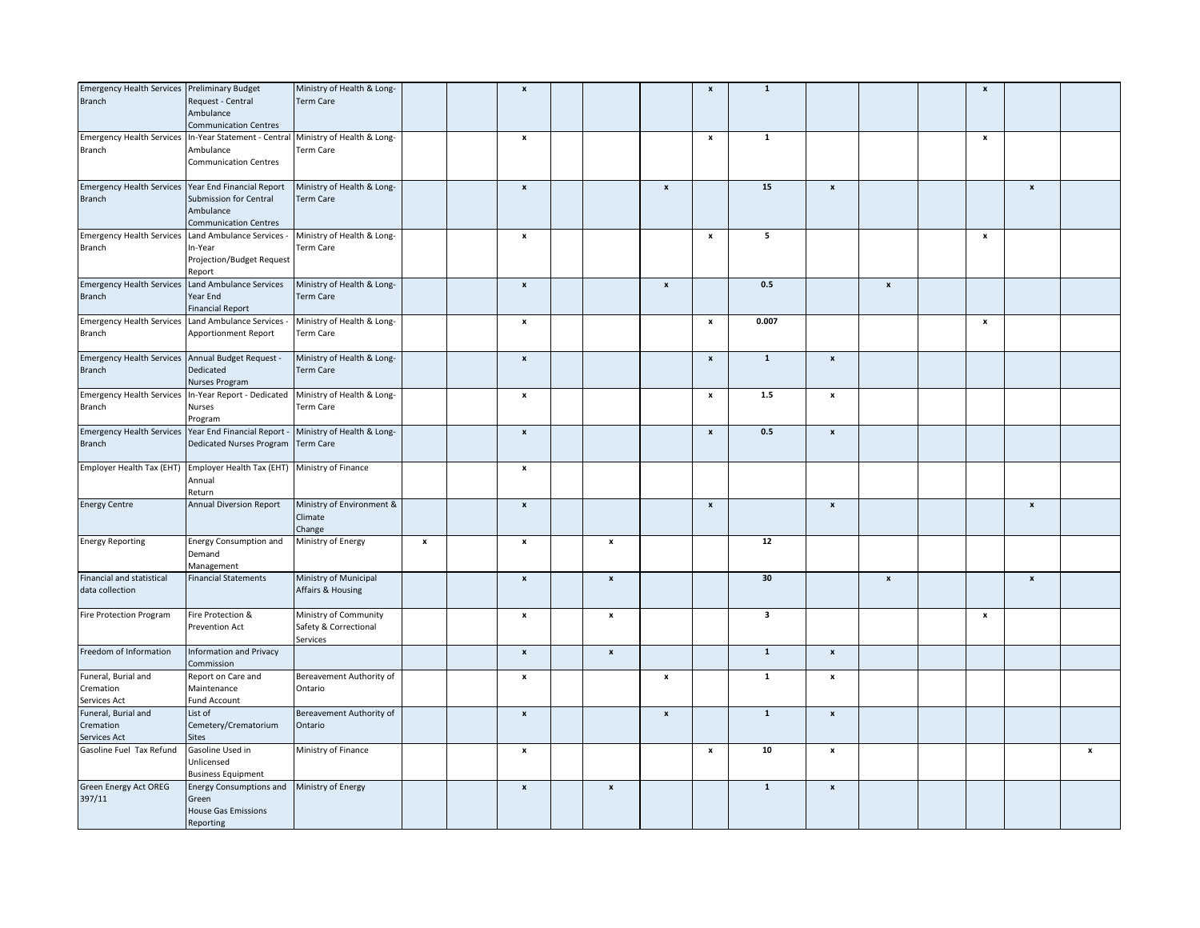| Emergency Health Services Preliminary Budget          |                                                                                 | Ministry of Health & Long-                     |                    | $\pmb{\mathsf{x}}$        |                    |                           | $\pmb{\mathsf{x}}$ | $\mathbf 1$  |                    |                    | $\boldsymbol{\mathsf{x}}$ |                    |   |
|-------------------------------------------------------|---------------------------------------------------------------------------------|------------------------------------------------|--------------------|---------------------------|--------------------|---------------------------|--------------------|--------------|--------------------|--------------------|---------------------------|--------------------|---|
| Branch                                                | Request - Central                                                               | <b>Term Care</b>                               |                    |                           |                    |                           |                    |              |                    |                    |                           |                    |   |
|                                                       | Ambulance                                                                       |                                                |                    |                           |                    |                           |                    |              |                    |                    |                           |                    |   |
|                                                       | <b>Communication Centres</b>                                                    |                                                |                    |                           |                    |                           |                    |              |                    |                    |                           |                    |   |
| <b>Emergency Health Services</b>                      | In-Year Statement - Central Ministry of Health & Long-                          |                                                |                    | $\pmb{\mathsf{x}}$        |                    |                           | $\pmb{\mathsf{x}}$ | $\mathbf 1$  |                    |                    | $\pmb{\times}$            |                    |   |
| Branch                                                | Ambulance                                                                       | Term Care                                      |                    |                           |                    |                           |                    |              |                    |                    |                           |                    |   |
|                                                       | <b>Communication Centres</b>                                                    |                                                |                    |                           |                    |                           |                    |              |                    |                    |                           |                    |   |
|                                                       |                                                                                 |                                                |                    |                           |                    |                           |                    |              |                    |                    |                           |                    |   |
| Emergency Health Services Year End Financial Report   |                                                                                 | Ministry of Health & Long-                     |                    | $\pmb{\mathsf{x}}$        |                    | $\pmb{\mathsf{x}}$        |                    | 15           | $\pmb{\mathsf{x}}$ |                    |                           | $\pmb{\mathsf{x}}$ |   |
| <b>Branch</b>                                         | Submission for Central                                                          | <b>Term Care</b>                               |                    |                           |                    |                           |                    |              |                    |                    |                           |                    |   |
|                                                       | Ambulance                                                                       |                                                |                    |                           |                    |                           |                    |              |                    |                    |                           |                    |   |
|                                                       | <b>Communication Centres</b>                                                    |                                                |                    |                           |                    |                           |                    |              |                    |                    |                           |                    |   |
| <b>Emergency Health Services</b>                      | Land Ambulance Services -                                                       | Ministry of Health & Long-                     |                    | x                         |                    |                           | x                  | 5            |                    |                    | x                         |                    |   |
| Branch                                                | In-Year                                                                         | Term Care                                      |                    |                           |                    |                           |                    |              |                    |                    |                           |                    |   |
|                                                       | Projection/Budget Request                                                       |                                                |                    |                           |                    |                           |                    |              |                    |                    |                           |                    |   |
|                                                       | Report                                                                          |                                                |                    |                           |                    |                           |                    |              |                    |                    |                           |                    |   |
| Emergency Health Services Land Ambulance Services     |                                                                                 | Ministry of Health & Long-                     |                    | $\pmb{\mathsf{x}}$        |                    | $\pmb{\mathsf{x}}$        |                    | 0.5          |                    | $\pmb{\mathsf{x}}$ |                           |                    |   |
| <b>Branch</b>                                         | Year End                                                                        | <b>Term Care</b>                               |                    |                           |                    |                           |                    |              |                    |                    |                           |                    |   |
|                                                       | <b>Financial Report</b>                                                         |                                                |                    |                           |                    |                           |                    |              |                    |                    |                           |                    |   |
| Emergency Health Services Land Ambulance Services -   |                                                                                 | Ministry of Health & Long-                     |                    | $\pmb{\mathsf{x}}$        |                    |                           | $\pmb{\mathsf{x}}$ | 0.007        |                    |                    | $\pmb{\times}$            |                    |   |
| Branch                                                | Apportionment Report                                                            | Term Care                                      |                    |                           |                    |                           |                    |              |                    |                    |                           |                    |   |
| Emergency Health Services Annual Budget Request -     |                                                                                 | Ministry of Health & Long-                     |                    | $\pmb{\mathsf{x}}$        |                    |                           | $\pmb{\mathsf{x}}$ | $\mathbf 1$  | $\pmb{\mathsf{x}}$ |                    |                           |                    |   |
|                                                       |                                                                                 | Term Care                                      |                    |                           |                    |                           |                    |              |                    |                    |                           |                    |   |
| Branch                                                | Dedicated<br><b>Nurses Program</b>                                              |                                                |                    |                           |                    |                           |                    |              |                    |                    |                           |                    |   |
|                                                       | Emergency Health Services In-Year Report - Dedicated Ministry of Health & Long- |                                                |                    | $\pmb{\mathsf{x}}$        |                    |                           | $\pmb{\mathsf{x}}$ | $1.5$        | $\pmb{\mathsf{x}}$ |                    |                           |                    |   |
| Branch                                                | <b>Nurses</b>                                                                   | Term Care                                      |                    |                           |                    |                           |                    |              |                    |                    |                           |                    |   |
|                                                       | Program                                                                         |                                                |                    |                           |                    |                           |                    |              |                    |                    |                           |                    |   |
| Emergency Health Services Year End Financial Report - |                                                                                 | Ministry of Health & Long-                     |                    | $\pmb{\mathsf{x}}$        |                    |                           | $\pmb{\mathsf{x}}$ | 0.5          | $\pmb{\mathsf{x}}$ |                    |                           |                    |   |
| Branch                                                | Dedicated Nurses Program                                                        | <b>Term Care</b>                               |                    |                           |                    |                           |                    |              |                    |                    |                           |                    |   |
|                                                       |                                                                                 |                                                |                    |                           |                    |                           |                    |              |                    |                    |                           |                    |   |
|                                                       | Employer Health Tax (EHT) Employer Health Tax (EHT) Ministry of Finance         |                                                |                    | $\pmb{\mathsf{x}}$        |                    |                           |                    |              |                    |                    |                           |                    |   |
|                                                       | Annual                                                                          |                                                |                    |                           |                    |                           |                    |              |                    |                    |                           |                    |   |
|                                                       | Return                                                                          |                                                |                    |                           |                    |                           |                    |              |                    |                    |                           |                    |   |
| <b>Energy Centre</b>                                  | <b>Annual Diversion Report</b>                                                  | Ministry of Environment &                      |                    | $\pmb{\mathsf{x}}$        |                    |                           | $\pmb{\mathsf{x}}$ |              | x                  |                    |                           | $\pmb{\mathsf{x}}$ |   |
|                                                       |                                                                                 | Climate                                        |                    |                           |                    |                           |                    |              |                    |                    |                           |                    |   |
|                                                       |                                                                                 | Change                                         |                    |                           |                    |                           |                    |              |                    |                    |                           |                    |   |
| <b>Energy Reporting</b>                               | <b>Energy Consumption and</b>                                                   | Ministry of Energy                             | $\pmb{\mathsf{x}}$ | $\pmb{\mathsf{x}}$        | $\pmb{\mathsf{x}}$ |                           |                    | 12           |                    |                    |                           |                    |   |
|                                                       | Demand                                                                          |                                                |                    |                           |                    |                           |                    |              |                    |                    |                           |                    |   |
|                                                       | Management                                                                      |                                                |                    |                           |                    |                           |                    |              |                    |                    |                           |                    |   |
| Financial and statistical                             | <b>Financial Statements</b>                                                     | Ministry of Municipal                          |                    | $\pmb{\mathsf{x}}$        | $\pmb{\mathsf{x}}$ |                           |                    | 30           |                    | $\pmb{\mathsf{x}}$ |                           | $\pmb{\mathsf{x}}$ |   |
| data collection                                       |                                                                                 | Affairs & Housing                              |                    |                           |                    |                           |                    |              |                    |                    |                           |                    |   |
|                                                       |                                                                                 |                                                |                    |                           |                    |                           |                    |              |                    |                    |                           |                    |   |
| Fire Protection Program                               | Fire Protection &<br><b>Prevention Act</b>                                      | Ministry of Community<br>Safety & Correctional |                    | x                         | $\pmb{\mathsf{x}}$ |                           |                    | 3            |                    |                    | $\boldsymbol{\mathsf{x}}$ |                    |   |
|                                                       |                                                                                 | Services                                       |                    |                           |                    |                           |                    |              |                    |                    |                           |                    |   |
| Freedom of Information                                | <b>Information and Privacy</b>                                                  |                                                |                    | $\pmb{\mathsf{x}}$        | $\pmb{\mathsf{x}}$ |                           |                    | $\mathbf 1$  | $\pmb{\mathsf{x}}$ |                    |                           |                    |   |
|                                                       | Commission                                                                      |                                                |                    |                           |                    |                           |                    |              |                    |                    |                           |                    |   |
| Funeral, Burial and                                   | Report on Care and                                                              | Bereavement Authority of                       |                    | $\boldsymbol{\mathsf{x}}$ |                    | $\boldsymbol{\mathsf{x}}$ |                    | $\mathbf{1}$ | x                  |                    |                           |                    |   |
| Cremation                                             | Maintenance                                                                     | Ontario                                        |                    |                           |                    |                           |                    |              |                    |                    |                           |                    |   |
| Services Act                                          | Fund Account                                                                    |                                                |                    |                           |                    |                           |                    |              |                    |                    |                           |                    |   |
| Funeral, Burial and                                   | List of                                                                         | Bereavement Authority of                       |                    | $\pmb{\mathsf{x}}$        |                    | $\pmb{\mathsf{x}}$        |                    | $\mathbf 1$  | $\pmb{\mathsf{x}}$ |                    |                           |                    |   |
| Cremation                                             | Cemetery/Crematorium                                                            | Ontario                                        |                    |                           |                    |                           |                    |              |                    |                    |                           |                    |   |
| Services Act                                          | <b>Sites</b>                                                                    |                                                |                    |                           |                    |                           |                    |              |                    |                    |                           |                    |   |
| Gasoline Fuel Tax Refund                              | Gasoline Used in                                                                | Ministry of Finance                            |                    | x                         |                    |                           | x                  | 10           | x                  |                    |                           |                    | x |
|                                                       | Unlicensed                                                                      |                                                |                    |                           |                    |                           |                    |              |                    |                    |                           |                    |   |
|                                                       | <b>Business Equipment</b>                                                       |                                                |                    |                           |                    |                           |                    |              |                    |                    |                           |                    |   |
| <b>Green Energy Act OREG</b>                          | Energy Consumptions and Ministry of Energy                                      |                                                |                    | $\pmb{\mathsf{x}}$        | $\pmb{\mathsf{x}}$ |                           |                    | $\mathbf{1}$ | $\pmb{\mathsf{x}}$ |                    |                           |                    |   |
| 397/11                                                | Green                                                                           |                                                |                    |                           |                    |                           |                    |              |                    |                    |                           |                    |   |
|                                                       | <b>House Gas Emissions</b>                                                      |                                                |                    |                           |                    |                           |                    |              |                    |                    |                           |                    |   |
|                                                       | Reporting                                                                       |                                                |                    |                           |                    |                           |                    |              |                    |                    |                           |                    |   |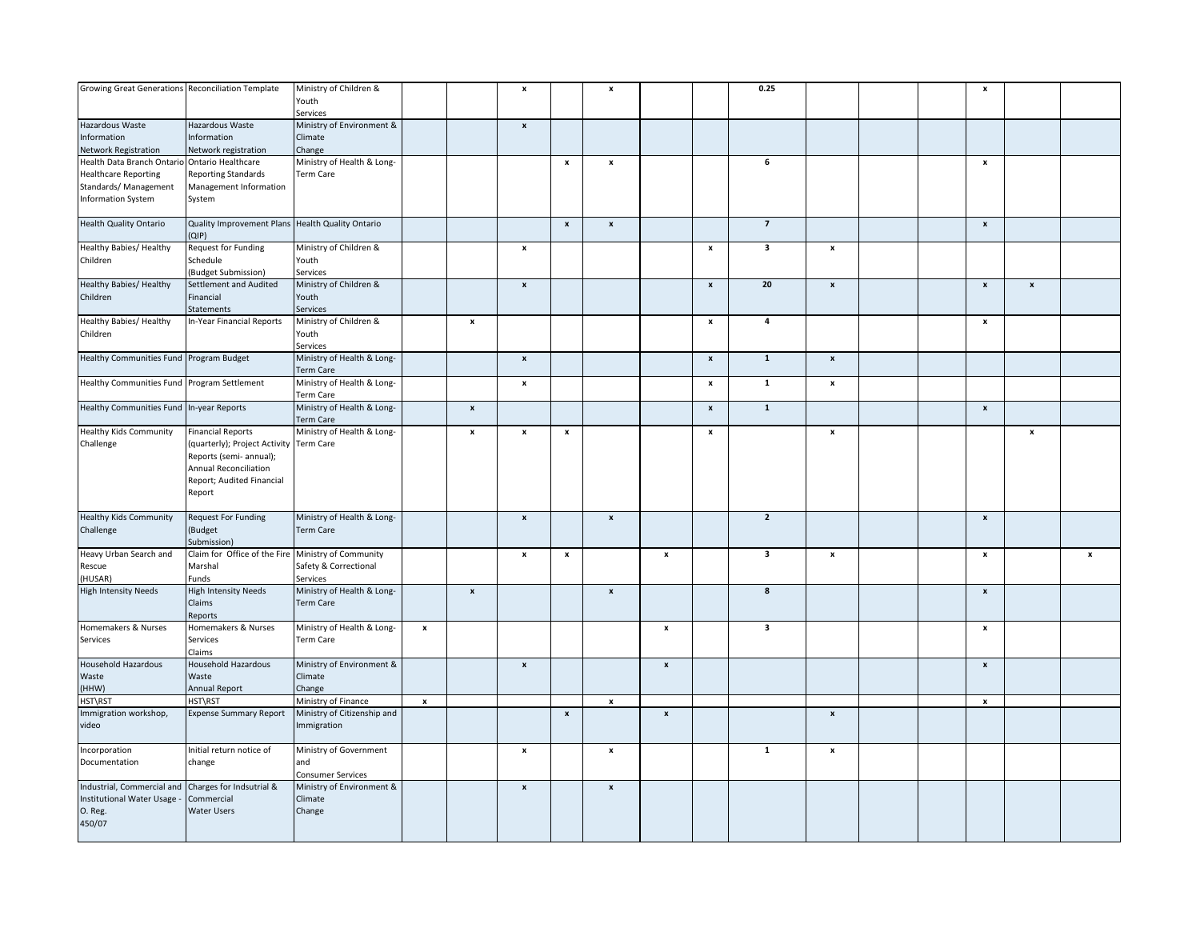| Growing Great Generations Reconciliation Template   |                                                    | Ministry of Children &      |                    |                    | $\boldsymbol{x}$          |                           | $\boldsymbol{\mathsf{x}}$ |                    |                           | 0.25                    |                           |  | $\pmb{\mathsf{x}}$        |                    |                    |
|-----------------------------------------------------|----------------------------------------------------|-----------------------------|--------------------|--------------------|---------------------------|---------------------------|---------------------------|--------------------|---------------------------|-------------------------|---------------------------|--|---------------------------|--------------------|--------------------|
|                                                     |                                                    | Youth                       |                    |                    |                           |                           |                           |                    |                           |                         |                           |  |                           |                    |                    |
|                                                     |                                                    | Services                    |                    |                    |                           |                           |                           |                    |                           |                         |                           |  |                           |                    |                    |
| Hazardous Waste                                     | Hazardous Waste                                    | Ministry of Environment &   |                    |                    | $\pmb{\mathsf{x}}$        |                           |                           |                    |                           |                         |                           |  |                           |                    |                    |
| Information                                         | Information                                        | Climate                     |                    |                    |                           |                           |                           |                    |                           |                         |                           |  |                           |                    |                    |
| Network Registration                                | Network registration                               | Change                      |                    |                    |                           |                           |                           |                    |                           |                         |                           |  |                           |                    |                    |
| Health Data Branch Ontario Ontario Healthcare       |                                                    | Ministry of Health & Long-  |                    |                    |                           | $\pmb{\mathsf{x}}$        | $\pmb{\mathsf{x}}$        |                    |                           | 6                       |                           |  | $\,$ $\,$ $\,$            |                    |                    |
| <b>Healthcare Reporting</b>                         | <b>Reporting Standards</b>                         | Term Care                   |                    |                    |                           |                           |                           |                    |                           |                         |                           |  |                           |                    |                    |
|                                                     |                                                    |                             |                    |                    |                           |                           |                           |                    |                           |                         |                           |  |                           |                    |                    |
| Standards/ Management                               | Management Information                             |                             |                    |                    |                           |                           |                           |                    |                           |                         |                           |  |                           |                    |                    |
| <b>Information System</b>                           | System                                             |                             |                    |                    |                           |                           |                           |                    |                           |                         |                           |  |                           |                    |                    |
|                                                     |                                                    |                             |                    |                    |                           |                           |                           |                    |                           |                         |                           |  |                           |                    |                    |
| Health Quality Ontario                              | Quality Improvement Plans Health Quality Ontario   |                             |                    |                    |                           | $\pmb{\mathsf{x}}$        | $\pmb{\mathsf{x}}$        |                    |                           | $\overline{7}$          |                           |  | $\pmb{\mathsf{x}}$        |                    |                    |
|                                                     | (QIP)                                              |                             |                    |                    |                           |                           |                           |                    |                           |                         |                           |  |                           |                    |                    |
| Healthy Babies/ Healthy                             | <b>Request for Funding</b>                         | Ministry of Children &      |                    |                    | $\boldsymbol{\mathsf{x}}$ |                           |                           |                    | $\pmb{\mathsf{x}}$        | $\overline{\mathbf{3}}$ | $\boldsymbol{\mathsf{x}}$ |  |                           |                    |                    |
| Children                                            | Schedule                                           | Youth                       |                    |                    |                           |                           |                           |                    |                           |                         |                           |  |                           |                    |                    |
|                                                     | (Budget Submission)                                | Services                    |                    |                    |                           |                           |                           |                    |                           |                         |                           |  |                           |                    |                    |
| <b>Healthy Babies/ Healthy</b>                      | Settlement and Audited                             | Ministry of Children &      |                    |                    | $\pmb{\mathsf{x}}$        |                           |                           |                    | $\pmb{\mathsf{x}}$        | 20                      | $\pmb{\mathsf{x}}$        |  | $\pmb{\mathsf{x}}$        | $\pmb{\mathsf{x}}$ |                    |
| Children                                            | Financial                                          | Youth                       |                    |                    |                           |                           |                           |                    |                           |                         |                           |  |                           |                    |                    |
|                                                     | Statements                                         | Services                    |                    |                    |                           |                           |                           |                    |                           |                         |                           |  |                           |                    |                    |
| Healthy Babies/ Healthy                             | In-Year Financial Reports                          | Ministry of Children &      |                    | $\pmb{\mathsf{x}}$ |                           |                           |                           |                    | $\pmb{\mathsf{x}}$        | 4                       |                           |  | $\pmb{\mathsf{x}}$        |                    |                    |
| Children                                            |                                                    | Youth                       |                    |                    |                           |                           |                           |                    |                           |                         |                           |  |                           |                    |                    |
|                                                     |                                                    |                             |                    |                    |                           |                           |                           |                    |                           |                         |                           |  |                           |                    |                    |
|                                                     |                                                    | Services                    |                    |                    |                           |                           |                           |                    |                           |                         |                           |  |                           |                    |                    |
| Healthy Communities Fund Program Budget             |                                                    | Ministry of Health & Long-  |                    |                    | $\pmb{\mathsf{x}}$        |                           |                           |                    | $\pmb{\mathsf{x}}$        | $\mathbf{1}$            | $\pmb{\mathsf{x}}$        |  |                           |                    |                    |
|                                                     |                                                    | <b>Term Care</b>            |                    |                    |                           |                           |                           |                    |                           |                         |                           |  |                           |                    |                    |
| Healthy Communities Fund Program Settlement         |                                                    | Ministry of Health & Long-  |                    |                    | $\pmb{\mathsf{x}}$        |                           |                           |                    | $\pmb{\mathsf{x}}$        | $\mathbf 1$             | $\pmb{\mathsf{x}}$        |  |                           |                    |                    |
|                                                     |                                                    | Term Care                   |                    |                    |                           |                           |                           |                    |                           |                         |                           |  |                           |                    |                    |
| Healthy Communities Fund In-year Reports            |                                                    | Ministry of Health & Long-  |                    | $\pmb{\mathsf{x}}$ |                           |                           |                           |                    | $\pmb{\times}$            | $\overline{1}$          |                           |  | $\pmb{\mathsf{x}}$        |                    |                    |
|                                                     |                                                    | Term Care                   |                    |                    |                           |                           |                           |                    |                           |                         |                           |  |                           |                    |                    |
| <b>Healthy Kids Community</b>                       | <b>Financial Reports</b>                           | Ministry of Health & Long-  |                    | $\pmb{\mathsf{x}}$ | $\boldsymbol{\mathsf{x}}$ | $\boldsymbol{\mathsf{x}}$ |                           |                    | $\boldsymbol{\mathsf{x}}$ |                         | $\pmb{\mathsf{x}}$        |  |                           | $\pmb{\mathsf{x}}$ |                    |
| Challenge                                           | (quarterly); Project Activity Term Care            |                             |                    |                    |                           |                           |                           |                    |                           |                         |                           |  |                           |                    |                    |
|                                                     | Reports (semi- annual);                            |                             |                    |                    |                           |                           |                           |                    |                           |                         |                           |  |                           |                    |                    |
|                                                     | Annual Reconciliation                              |                             |                    |                    |                           |                           |                           |                    |                           |                         |                           |  |                           |                    |                    |
|                                                     | Report; Audited Financial                          |                             |                    |                    |                           |                           |                           |                    |                           |                         |                           |  |                           |                    |                    |
|                                                     |                                                    |                             |                    |                    |                           |                           |                           |                    |                           |                         |                           |  |                           |                    |                    |
|                                                     | Report                                             |                             |                    |                    |                           |                           |                           |                    |                           |                         |                           |  |                           |                    |                    |
|                                                     |                                                    |                             |                    |                    |                           |                           |                           |                    |                           |                         |                           |  |                           |                    |                    |
| <b>Healthy Kids Community</b>                       | <b>Request For Funding</b>                         | Ministry of Health & Long-  |                    |                    | $\pmb{\mathsf{x}}$        |                           | $\pmb{\mathsf{x}}$        |                    |                           | $\overline{2}$          |                           |  | $\boldsymbol{x}$          |                    |                    |
| Challenge                                           | (Budget                                            | <b>Term Care</b>            |                    |                    |                           |                           |                           |                    |                           |                         |                           |  |                           |                    |                    |
|                                                     | Submission)                                        |                             |                    |                    |                           |                           |                           |                    |                           |                         |                           |  |                           |                    |                    |
| Heavy Urban Search and                              | Claim for Office of the Fire Ministry of Community |                             |                    |                    | $\pmb{\mathsf{x}}$        | $\pmb{\mathsf{x}}$        |                           | $\pmb{\times}$     |                           | $\overline{\mathbf{3}}$ | $\pmb{\mathsf{x}}$        |  | $\,$ $\,$ $\,$            |                    | $\pmb{\mathsf{x}}$ |
| Rescue                                              | Marshal                                            | Safety & Correctional       |                    |                    |                           |                           |                           |                    |                           |                         |                           |  |                           |                    |                    |
| (HUSAR)                                             | Funds                                              | Services                    |                    |                    |                           |                           |                           |                    |                           |                         |                           |  |                           |                    |                    |
| <b>High Intensity Needs</b>                         | <b>High Intensity Needs</b>                        | Ministry of Health & Long-  |                    | $\pmb{\mathsf{x}}$ |                           |                           | $\pmb{\times}$            |                    |                           | 8                       |                           |  | $\pmb{\mathsf{x}}$        |                    |                    |
|                                                     | Claims                                             | Term Care                   |                    |                    |                           |                           |                           |                    |                           |                         |                           |  |                           |                    |                    |
|                                                     | Reports                                            |                             |                    |                    |                           |                           |                           |                    |                           |                         |                           |  |                           |                    |                    |
| Homemakers & Nurses                                 | Homemakers & Nurses                                | Ministry of Health & Long-  | $\pmb{\mathsf{x}}$ |                    |                           |                           |                           | $\pmb{\mathsf{x}}$ |                           | $\overline{\mathbf{3}}$ |                           |  | $\,$ $\,$ $\,$            |                    |                    |
|                                                     | Services                                           | Term Care                   |                    |                    |                           |                           |                           |                    |                           |                         |                           |  |                           |                    |                    |
| Services                                            | Claims                                             |                             |                    |                    |                           |                           |                           |                    |                           |                         |                           |  |                           |                    |                    |
|                                                     |                                                    |                             |                    |                    |                           |                           |                           |                    |                           |                         |                           |  |                           |                    |                    |
| Household Hazardous                                 | Household Hazardous                                | Ministry of Environment &   |                    |                    | $\mathbf{x}$              |                           |                           | $\pmb{\mathsf{x}}$ |                           |                         |                           |  | $\pmb{\mathsf{x}}$        |                    |                    |
| Waste                                               | Waste                                              | Climate                     |                    |                    |                           |                           |                           |                    |                           |                         |                           |  |                           |                    |                    |
| (HHW)                                               | Annual Report                                      | Change                      |                    |                    |                           |                           |                           |                    |                           |                         |                           |  |                           |                    |                    |
| HST\RST                                             | HST\RST                                            | Ministry of Finance         | $\pmb{\mathsf{x}}$ |                    |                           |                           | $\mathbf{x}$              |                    |                           |                         |                           |  | $\boldsymbol{\mathsf{x}}$ |                    |                    |
| Immigration workshop,                               | <b>Expense Summary Report</b>                      | Ministry of Citizenship and |                    |                    |                           | $\boldsymbol{x}$          |                           | $\mathbf{x}$       |                           |                         | $\boldsymbol{\mathsf{x}}$ |  |                           |                    |                    |
| video                                               |                                                    | Immigration                 |                    |                    |                           |                           |                           |                    |                           |                         |                           |  |                           |                    |                    |
|                                                     |                                                    |                             |                    |                    |                           |                           |                           |                    |                           |                         |                           |  |                           |                    |                    |
| Incorporation                                       | Initial return notice of                           | Ministry of Government      |                    |                    | $\pmb{\mathsf{x}}$        |                           | $\mathbf{x}$              |                    |                           | $\mathbf{1}$            | $\pmb{\mathsf{x}}$        |  |                           |                    |                    |
|                                                     | change                                             | and                         |                    |                    |                           |                           |                           |                    |                           |                         |                           |  |                           |                    |                    |
|                                                     |                                                    |                             |                    |                    |                           |                           |                           |                    |                           |                         |                           |  |                           |                    |                    |
|                                                     |                                                    |                             |                    |                    |                           |                           |                           |                    |                           |                         |                           |  |                           |                    |                    |
| Documentation                                       |                                                    | Consumer Services           |                    |                    |                           |                           |                           |                    |                           |                         |                           |  |                           |                    |                    |
| Industrial, Commercial and Charges for Indsutrial & |                                                    | Ministry of Environment &   |                    |                    | $\pmb{\mathsf{x}}$        |                           | $\boldsymbol{\mathsf{x}}$ |                    |                           |                         |                           |  |                           |                    |                    |
| Institutional Water Usage -                         | Commercial                                         | Climate                     |                    |                    |                           |                           |                           |                    |                           |                         |                           |  |                           |                    |                    |
| O. Reg.                                             | Water Users                                        | Change                      |                    |                    |                           |                           |                           |                    |                           |                         |                           |  |                           |                    |                    |
| 450/07                                              |                                                    |                             |                    |                    |                           |                           |                           |                    |                           |                         |                           |  |                           |                    |                    |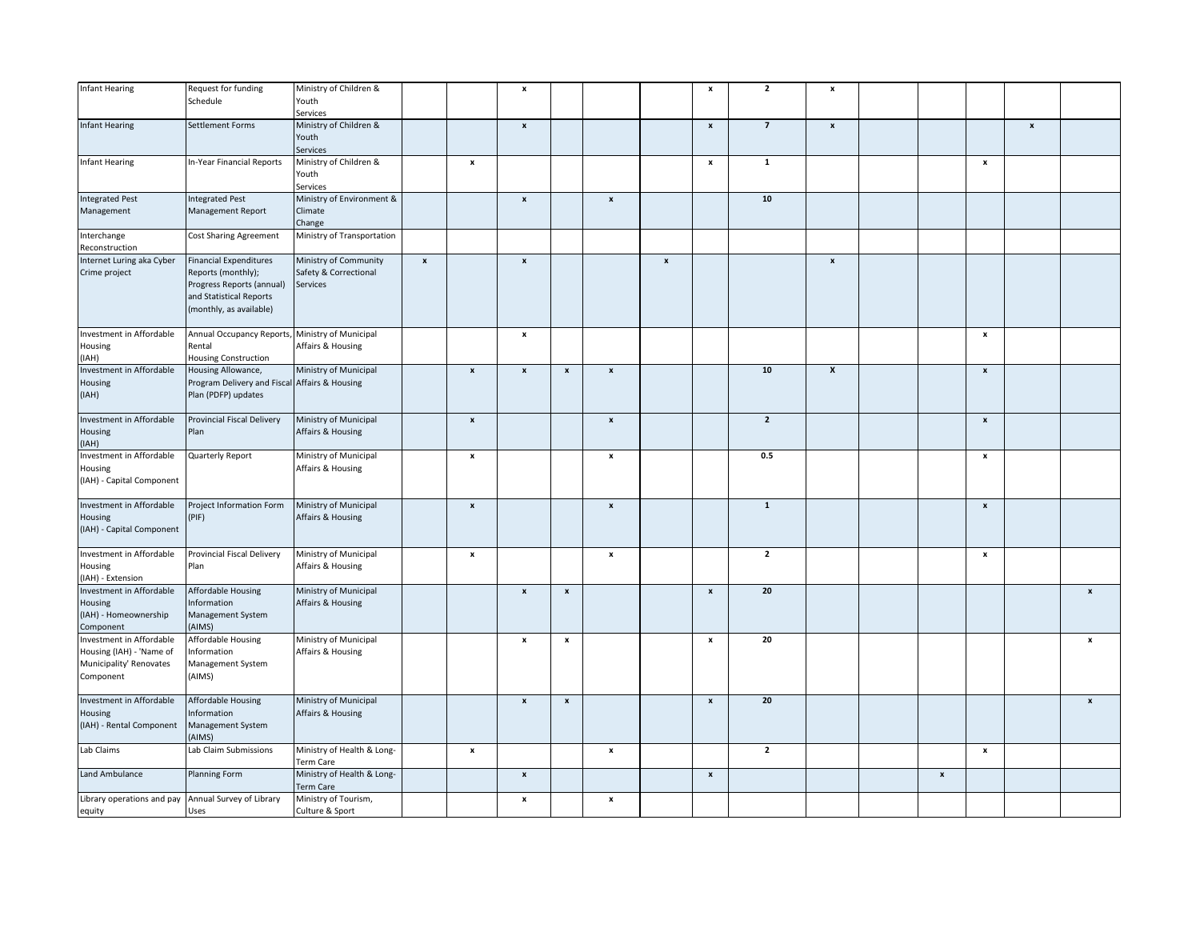| Infant Hearing                                                                               | Request for funding<br>Schedule                                                                                                        | Ministry of Children &<br>Youth                            |                    |                    | $\pmb{\mathsf{x}}$ |                    |                    |                    | $\pmb{\mathsf{x}}$ | $\overline{2}$          | $\pmb{\mathsf{x}}$ |                    |                    |                    |                           |
|----------------------------------------------------------------------------------------------|----------------------------------------------------------------------------------------------------------------------------------------|------------------------------------------------------------|--------------------|--------------------|--------------------|--------------------|--------------------|--------------------|--------------------|-------------------------|--------------------|--------------------|--------------------|--------------------|---------------------------|
| <b>Infant Hearing</b>                                                                        | Settlement Forms                                                                                                                       | Services<br>Ministry of Children &                         |                    |                    | $\pmb{\mathsf{x}}$ |                    |                    |                    | $\pmb{\mathsf{x}}$ | $\overline{7}$          | $\pmb{\mathsf{x}}$ |                    |                    | $\pmb{\mathsf{x}}$ |                           |
|                                                                                              |                                                                                                                                        | Youth<br>Services                                          |                    |                    |                    |                    |                    |                    |                    |                         |                    |                    |                    |                    |                           |
| nfant Hearing                                                                                | In-Year Financial Reports                                                                                                              | Ministry of Children &<br>Youth<br>Services                |                    | $\pmb{\mathsf{x}}$ |                    |                    |                    |                    | $\pmb{\mathsf{x}}$ | $\mathbf 1$             |                    |                    | $\pmb{\mathsf{x}}$ |                    |                           |
|                                                                                              |                                                                                                                                        |                                                            |                    |                    |                    |                    |                    |                    |                    | ${\bf 10}$              |                    |                    |                    |                    |                           |
| <b>Integrated Pest</b><br>Management                                                         | <b>Integrated Pest</b><br><b>Management Report</b>                                                                                     | Ministry of Environment &<br>Climate<br>Change             |                    |                    | $\pmb{\mathsf{x}}$ |                    | $\pmb{\mathsf{x}}$ |                    |                    |                         |                    |                    |                    |                    |                           |
| nterchange<br>Reconstruction                                                                 | Cost Sharing Agreement                                                                                                                 | Ministry of Transportation                                 |                    |                    |                    |                    |                    |                    |                    |                         |                    |                    |                    |                    |                           |
| Internet Luring aka Cyber<br>Crime project                                                   | <b>Financial Expenditures</b><br>Reports (monthly);<br>Progress Reports (annual)<br>and Statistical Reports<br>(monthly, as available) | Ministry of Community<br>Safety & Correctional<br>Services | $\pmb{\mathsf{x}}$ |                    | $\pmb{\mathsf{x}}$ |                    |                    | $\pmb{\mathsf{x}}$ |                    |                         | $\pmb{\mathsf{x}}$ |                    |                    |                    |                           |
| Investment in Affordable<br>Housing<br>(IAH)                                                 | Annual Occupancy Reports,<br>Rental<br>Housing Construction                                                                            | Ministry of Municipal<br>Affairs & Housing                 |                    |                    | $\pmb{\mathsf{x}}$ |                    |                    |                    |                    |                         |                    |                    | $\pmb{\mathsf{x}}$ |                    |                           |
| Investment in Affordable<br>Housing<br>(IAH)                                                 | Housing Allowance,<br>Program Delivery and Fiscal Affairs & Housing<br>Plan (PDFP) updates                                             | Ministry of Municipal                                      |                    | $\pmb{\mathsf{x}}$ | $\pmb{\mathsf{x}}$ | $\pmb{\mathsf{x}}$ | $\pmb{\mathsf{x}}$ |                    |                    | 10                      | $\pmb{\chi}$       |                    | $\pmb{\mathsf{x}}$ |                    |                           |
| Investment in Affordable<br>Housing<br>(IAH)                                                 | Provincial Fiscal Delivery<br>Plan                                                                                                     | Ministry of Municipal<br>Affairs & Housing                 |                    | $\pmb{\mathsf{x}}$ |                    |                    | $\pmb{\mathsf{x}}$ |                    |                    | $\overline{2}$          |                    |                    | $\pmb{\mathsf{x}}$ |                    |                           |
| Investment in Affordable<br>Housing<br>(IAH) - Capital Component                             | Quarterly Report                                                                                                                       | Ministry of Municipal<br>Affairs & Housing                 |                    | $\pmb{\mathsf{x}}$ |                    |                    | $\pmb{\mathsf{x}}$ |                    |                    | 0.5                     |                    |                    | $\pmb{\times}$     |                    |                           |
| Investment in Affordable<br>Housing<br>(IAH) - Capital Component                             | Project Information Form<br>(PIF)                                                                                                      | Ministry of Municipal<br>Affairs & Housing                 |                    | $\pmb{\mathsf{x}}$ |                    |                    | $\pmb{\mathsf{x}}$ |                    |                    | $\mathbf 1$             |                    |                    | $\pmb{\mathsf{x}}$ |                    |                           |
| Investment in Affordable<br>Housing<br>IAH) - Extension                                      | Provincial Fiscal Delivery<br>Plan                                                                                                     | Ministry of Municipal<br>Affairs & Housing                 |                    | x                  |                    |                    | x                  |                    |                    | $\overline{\mathbf{2}}$ |                    |                    | x                  |                    |                           |
| Investment in Affordable<br>Housing<br>(IAH) - Homeownership<br>Component                    | Affordable Housing<br>Information<br>Management System<br>(AIMS)                                                                       | Ministry of Municipal<br>Affairs & Housing                 |                    |                    | $\pmb{\mathsf{x}}$ | $\pmb{\mathsf{x}}$ |                    |                    | $\pmb{\mathsf{x}}$ | 20                      |                    |                    |                    |                    | $\pmb{\times}$            |
| Investment in Affordable<br>Housing (IAH) - 'Name of<br>Municipality' Renovates<br>Component | Affordable Housing<br>Information<br>Management System<br>(AIMS)                                                                       | Ministry of Municipal<br>Affairs & Housing                 |                    |                    | $\pmb{\mathsf{x}}$ | $\pmb{\mathsf{x}}$ |                    |                    | $\pmb{\mathsf{x}}$ | 20                      |                    |                    |                    |                    | $\boldsymbol{\mathsf{x}}$ |
| Investment in Affordable<br>Housing<br>(IAH) - Rental Component                              | <b>Affordable Housing</b><br>Information<br>Management System<br>(AIMS)                                                                | Ministry of Municipal<br>Affairs & Housing                 |                    |                    | $\pmb{\mathsf{x}}$ | $\pmb{\mathsf{x}}$ |                    |                    | $\pmb{\mathsf{x}}$ | 20                      |                    |                    |                    |                    | $\pmb{\chi}$              |
| Lab Claims                                                                                   | Lab Claim Submissions                                                                                                                  | Ministry of Health & Long-<br>Term Care                    |                    | $\pmb{\mathsf{x}}$ |                    |                    | $\pmb{\mathsf{x}}$ |                    |                    | $\overline{2}$          |                    |                    | $\pmb{\mathsf{x}}$ |                    |                           |
| Land Ambulance                                                                               | Planning Form                                                                                                                          | Ministry of Health & Long-<br><b>Term Care</b>             |                    |                    | $\pmb{\mathsf{x}}$ |                    |                    |                    | $\pmb{\mathsf{x}}$ |                         |                    | $\pmb{\mathsf{x}}$ |                    |                    |                           |
| Library operations and pay                                                                   | Annual Survey of Library                                                                                                               | Ministry of Tourism,                                       |                    |                    | x                  |                    | $\pmb{\mathsf{x}}$ |                    |                    |                         |                    |                    |                    |                    |                           |
| equity                                                                                       | Uses                                                                                                                                   | Culture & Sport                                            |                    |                    |                    |                    |                    |                    |                    |                         |                    |                    |                    |                    |                           |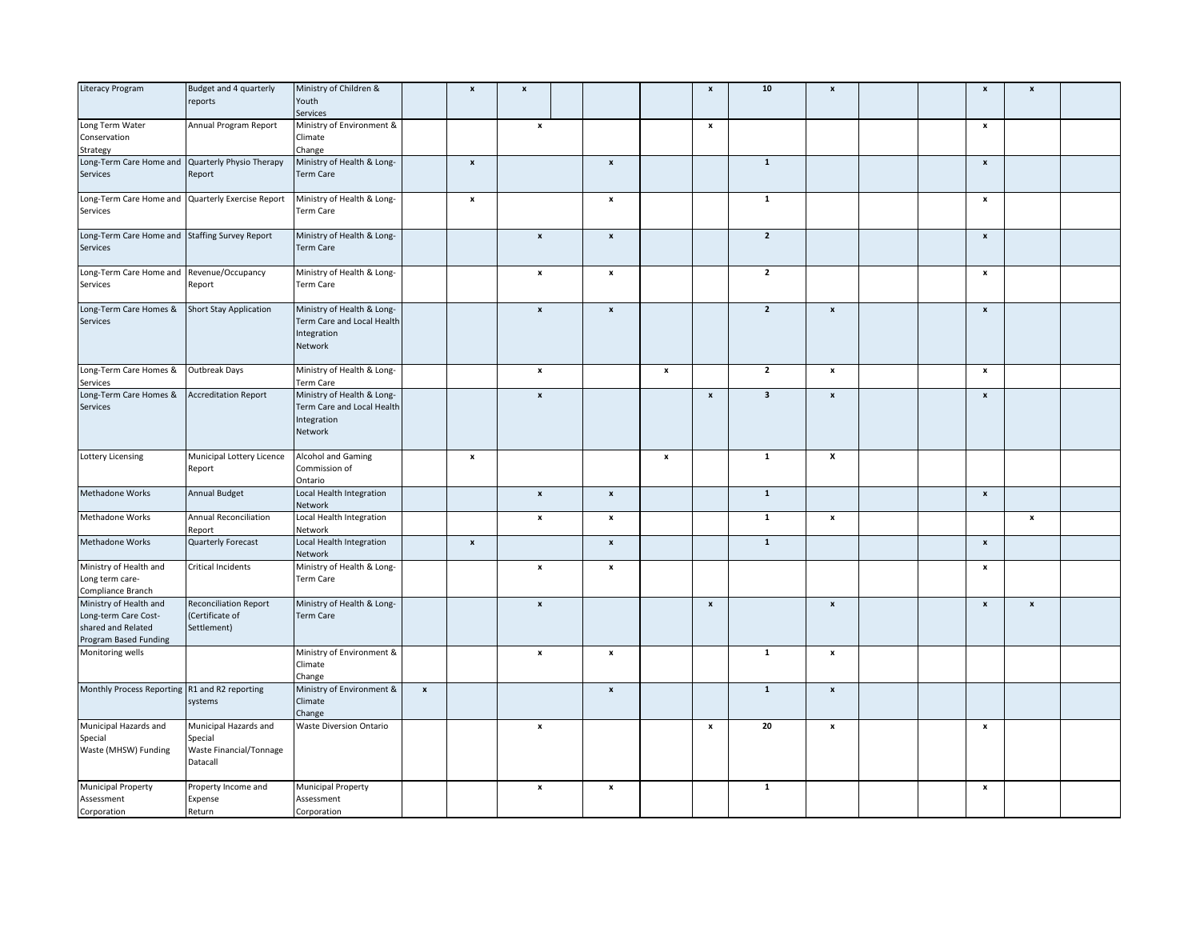| Literacy Program                                  | Budget and 4 quarterly        | Ministry of Children &     |                  | $\pmb{\mathsf{x}}$ | $\pmb{\mathsf{x}}$        |                           |                    | $\pmb{\mathsf{x}}$ | ${\bf 10}$              | $\pmb{\mathsf{x}}$ |  | $\pmb{\mathsf{x}}$        | $\pmb{\mathsf{x}}$ |  |
|---------------------------------------------------|-------------------------------|----------------------------|------------------|--------------------|---------------------------|---------------------------|--------------------|--------------------|-------------------------|--------------------|--|---------------------------|--------------------|--|
|                                                   | reports                       | Youth                      |                  |                    |                           |                           |                    |                    |                         |                    |  |                           |                    |  |
|                                                   |                               | Services                   |                  |                    |                           |                           |                    |                    |                         |                    |  |                           |                    |  |
|                                                   |                               |                            |                  |                    |                           |                           |                    |                    |                         |                    |  |                           |                    |  |
| Long Term Water                                   | Annual Program Report         | Ministry of Environment &  |                  |                    | $\pmb{\mathsf{x}}$        |                           |                    | $\pmb{\mathsf{x}}$ |                         |                    |  | $\pmb{\mathsf{x}}$        |                    |  |
| Conservation                                      |                               | Climate                    |                  |                    |                           |                           |                    |                    |                         |                    |  |                           |                    |  |
| Strategy                                          |                               | Change                     |                  |                    |                           |                           |                    |                    |                         |                    |  |                           |                    |  |
| Long-Term Care Home and Quarterly Physio Therapy  |                               | Ministry of Health & Long- |                  | $\pmb{\mathsf{x}}$ |                           | $\pmb{\mathsf{x}}$        |                    |                    | $\mathbf 1$             |                    |  | $\pmb{\mathsf{x}}$        |                    |  |
| Services                                          | Report                        | Term Care                  |                  |                    |                           |                           |                    |                    |                         |                    |  |                           |                    |  |
|                                                   |                               |                            |                  |                    |                           |                           |                    |                    |                         |                    |  |                           |                    |  |
|                                                   |                               |                            |                  |                    |                           |                           |                    |                    |                         |                    |  |                           |                    |  |
| Long-Term Care Home and Quarterly Exercise Report |                               | Ministry of Health & Long- |                  | $\pmb{\mathsf{x}}$ |                           | $\pmb{\mathsf{x}}$        |                    |                    | $\mathbf 1$             |                    |  | $\boldsymbol{\mathsf{x}}$ |                    |  |
| Services                                          |                               | Term Care                  |                  |                    |                           |                           |                    |                    |                         |                    |  |                           |                    |  |
|                                                   |                               |                            |                  |                    |                           |                           |                    |                    |                         |                    |  |                           |                    |  |
| Long-Term Care Home and Staffing Survey Report    |                               | Ministry of Health & Long- |                  |                    | $\pmb{\mathsf{x}}$        | $\pmb{\mathsf{x}}$        |                    |                    | $\overline{2}$          |                    |  | $\boldsymbol{\mathsf{x}}$ |                    |  |
| Services                                          |                               | Term Care                  |                  |                    |                           |                           |                    |                    |                         |                    |  |                           |                    |  |
|                                                   |                               |                            |                  |                    |                           |                           |                    |                    |                         |                    |  |                           |                    |  |
|                                                   |                               |                            |                  |                    |                           |                           |                    |                    |                         |                    |  |                           |                    |  |
| Long-Term Care Home and Revenue/Occupancy         |                               | Ministry of Health & Long- |                  |                    | $\pmb{\mathsf{x}}$        | $\pmb{\mathsf{x}}$        |                    |                    | $\overline{2}$          |                    |  | $\boldsymbol{\mathsf{x}}$ |                    |  |
| Services                                          | Report                        | Term Care                  |                  |                    |                           |                           |                    |                    |                         |                    |  |                           |                    |  |
|                                                   |                               |                            |                  |                    |                           |                           |                    |                    |                         |                    |  |                           |                    |  |
| Long-Term Care Homes &                            | <b>Short Stay Application</b> | Ministry of Health & Long- |                  |                    | $\boldsymbol{\mathsf{x}}$ | $\pmb{\mathsf{x}}$        |                    |                    | $\overline{2}$          | $\pmb{\mathsf{x}}$ |  | $\pmb{\mathsf{x}}$        |                    |  |
|                                                   |                               |                            |                  |                    |                           |                           |                    |                    |                         |                    |  |                           |                    |  |
| Services                                          |                               | Term Care and Local Health |                  |                    |                           |                           |                    |                    |                         |                    |  |                           |                    |  |
|                                                   |                               | Integration                |                  |                    |                           |                           |                    |                    |                         |                    |  |                           |                    |  |
|                                                   |                               | Network                    |                  |                    |                           |                           |                    |                    |                         |                    |  |                           |                    |  |
|                                                   |                               |                            |                  |                    |                           |                           |                    |                    |                         |                    |  |                           |                    |  |
| Long-Term Care Homes &                            | Outbreak Days                 | Ministry of Health & Long- |                  |                    | $\pmb{\mathsf{x}}$        |                           | $\pmb{\mathsf{x}}$ |                    | $\overline{2}$          | $\pmb{\mathsf{x}}$ |  | $\pmb{\mathsf{x}}$        |                    |  |
|                                                   |                               |                            |                  |                    |                           |                           |                    |                    |                         |                    |  |                           |                    |  |
| Services                                          |                               | Term Care                  |                  |                    |                           |                           |                    |                    |                         |                    |  |                           |                    |  |
| Long-Term Care Homes &                            | <b>Accreditation Report</b>   | Ministry of Health & Long- |                  |                    | $\pmb{\times}$            |                           |                    | $\pmb{\mathsf{x}}$ | $\overline{\mathbf{3}}$ | $\pmb{\mathsf{x}}$ |  | $\pmb{\mathsf{x}}$        |                    |  |
| Services                                          |                               | Term Care and Local Health |                  |                    |                           |                           |                    |                    |                         |                    |  |                           |                    |  |
|                                                   |                               | Integration                |                  |                    |                           |                           |                    |                    |                         |                    |  |                           |                    |  |
|                                                   |                               |                            |                  |                    |                           |                           |                    |                    |                         |                    |  |                           |                    |  |
|                                                   |                               | Network                    |                  |                    |                           |                           |                    |                    |                         |                    |  |                           |                    |  |
|                                                   |                               |                            |                  |                    |                           |                           |                    |                    |                         |                    |  |                           |                    |  |
| <b>Lottery Licensing</b>                          | Municipal Lottery Licence     | Alcohol and Gaming         |                  | $\pmb{\mathsf{x}}$ |                           |                           | $\pmb{\mathsf{x}}$ |                    | $\mathbf{1}$            | x                  |  |                           |                    |  |
|                                                   | Report                        | Commission of              |                  |                    |                           |                           |                    |                    |                         |                    |  |                           |                    |  |
|                                                   |                               | Ontario                    |                  |                    |                           |                           |                    |                    |                         |                    |  |                           |                    |  |
| Methadone Works                                   | <b>Annual Budget</b>          | Local Health Integration   |                  |                    | $\pmb{\mathsf{x}}$        | $\pmb{\mathsf{x}}$        |                    |                    | $\overline{1}$          |                    |  | $\pmb{\mathsf{x}}$        |                    |  |
|                                                   |                               |                            |                  |                    |                           |                           |                    |                    |                         |                    |  |                           |                    |  |
|                                                   |                               | Network                    |                  |                    |                           |                           |                    |                    |                         |                    |  |                           |                    |  |
| Methadone Works                                   | Annual Reconciliation         | Local Health Integration   |                  |                    | $\pmb{\mathsf{x}}$        | $\pmb{\mathsf{x}}$        |                    |                    | $\overline{1}$          | $\pmb{\mathsf{x}}$ |  |                           | $\pmb{\mathsf{x}}$ |  |
|                                                   | Report                        | Network                    |                  |                    |                           |                           |                    |                    |                         |                    |  |                           |                    |  |
| Methadone Works                                   | Quarterly Forecast            | Local Health Integration   |                  | $\pmb{\mathsf{x}}$ |                           | $\pmb{\mathsf{x}}$        |                    |                    | $\mathbf 1$             |                    |  | $\mathbf{x}$              |                    |  |
|                                                   |                               | Network                    |                  |                    |                           |                           |                    |                    |                         |                    |  |                           |                    |  |
| Ministry of Health and                            |                               | Ministry of Health & Long- |                  |                    |                           |                           |                    |                    |                         |                    |  |                           |                    |  |
|                                                   | Critical Incidents            |                            |                  |                    | $\pmb{\mathsf{x}}$        | $\pmb{\mathsf{x}}$        |                    |                    |                         |                    |  | $\pmb{\mathsf{x}}$        |                    |  |
| Long term care-                                   |                               | <b>Term Care</b>           |                  |                    |                           |                           |                    |                    |                         |                    |  |                           |                    |  |
| Compliance Branch                                 |                               |                            |                  |                    |                           |                           |                    |                    |                         |                    |  |                           |                    |  |
| Ministry of Health and                            | <b>Reconciliation Report</b>  | Ministry of Health & Long- |                  |                    | $\pmb{\mathsf{x}}$        |                           |                    | $\pmb{\mathsf{x}}$ |                         | $\pmb{\mathsf{x}}$ |  | $\boldsymbol{\mathsf{x}}$ | x                  |  |
| Long-term Care Cost-                              | (Certificate of               | Term Care                  |                  |                    |                           |                           |                    |                    |                         |                    |  |                           |                    |  |
| shared and Related                                | Settlement)                   |                            |                  |                    |                           |                           |                    |                    |                         |                    |  |                           |                    |  |
|                                                   |                               |                            |                  |                    |                           |                           |                    |                    |                         |                    |  |                           |                    |  |
| Program Based Funding                             |                               |                            |                  |                    |                           |                           |                    |                    |                         |                    |  |                           |                    |  |
| Monitoring wells                                  |                               | Ministry of Environment &  |                  |                    | $\pmb{\mathsf{x}}$        | $\boldsymbol{\mathsf{x}}$ |                    |                    | $\mathbf 1$             | x                  |  |                           |                    |  |
|                                                   |                               | Climate                    |                  |                    |                           |                           |                    |                    |                         |                    |  |                           |                    |  |
|                                                   |                               | Change                     |                  |                    |                           |                           |                    |                    |                         |                    |  |                           |                    |  |
| Monthly Process Reporting R1 and R2 reporting     |                               | Ministry of Environment &  | $\boldsymbol{x}$ |                    |                           | $\pmb{\mathsf{x}}$        |                    |                    | $\mathbf{1}$            | $\pmb{\mathsf{x}}$ |  |                           |                    |  |
|                                                   |                               |                            |                  |                    |                           |                           |                    |                    |                         |                    |  |                           |                    |  |
|                                                   | systems                       | Climate                    |                  |                    |                           |                           |                    |                    |                         |                    |  |                           |                    |  |
|                                                   |                               | Change                     |                  |                    |                           |                           |                    |                    |                         |                    |  |                           |                    |  |
| Municipal Hazards and                             | Municipal Hazards and         | Waste Diversion Ontario    |                  |                    | $\pmb{\mathsf{x}}$        |                           |                    | $\pmb{\mathsf{x}}$ | 20                      | $\pmb{\mathsf{x}}$ |  | $\pmb{\mathsf{x}}$        |                    |  |
| Special                                           | Special                       |                            |                  |                    |                           |                           |                    |                    |                         |                    |  |                           |                    |  |
|                                                   |                               |                            |                  |                    |                           |                           |                    |                    |                         |                    |  |                           |                    |  |
| Waste (MHSW) Funding                              | Waste Financial/Tonnage       |                            |                  |                    |                           |                           |                    |                    |                         |                    |  |                           |                    |  |
|                                                   | Datacall                      |                            |                  |                    |                           |                           |                    |                    |                         |                    |  |                           |                    |  |
|                                                   |                               |                            |                  |                    |                           |                           |                    |                    |                         |                    |  |                           |                    |  |
| <b>Municipal Property</b>                         | Property Income and           | Municipal Property         |                  |                    | $\pmb{\mathsf{x}}$        | $\pmb{\mathsf{x}}$        |                    |                    | $\mathbf 1$             |                    |  | $\pmb{\mathsf{x}}$        |                    |  |
| Assessment                                        | Expense                       | Assessment                 |                  |                    |                           |                           |                    |                    |                         |                    |  |                           |                    |  |
| Corporation                                       | Return                        | Corporation                |                  |                    |                           |                           |                    |                    |                         |                    |  |                           |                    |  |
|                                                   |                               |                            |                  |                    |                           |                           |                    |                    |                         |                    |  |                           |                    |  |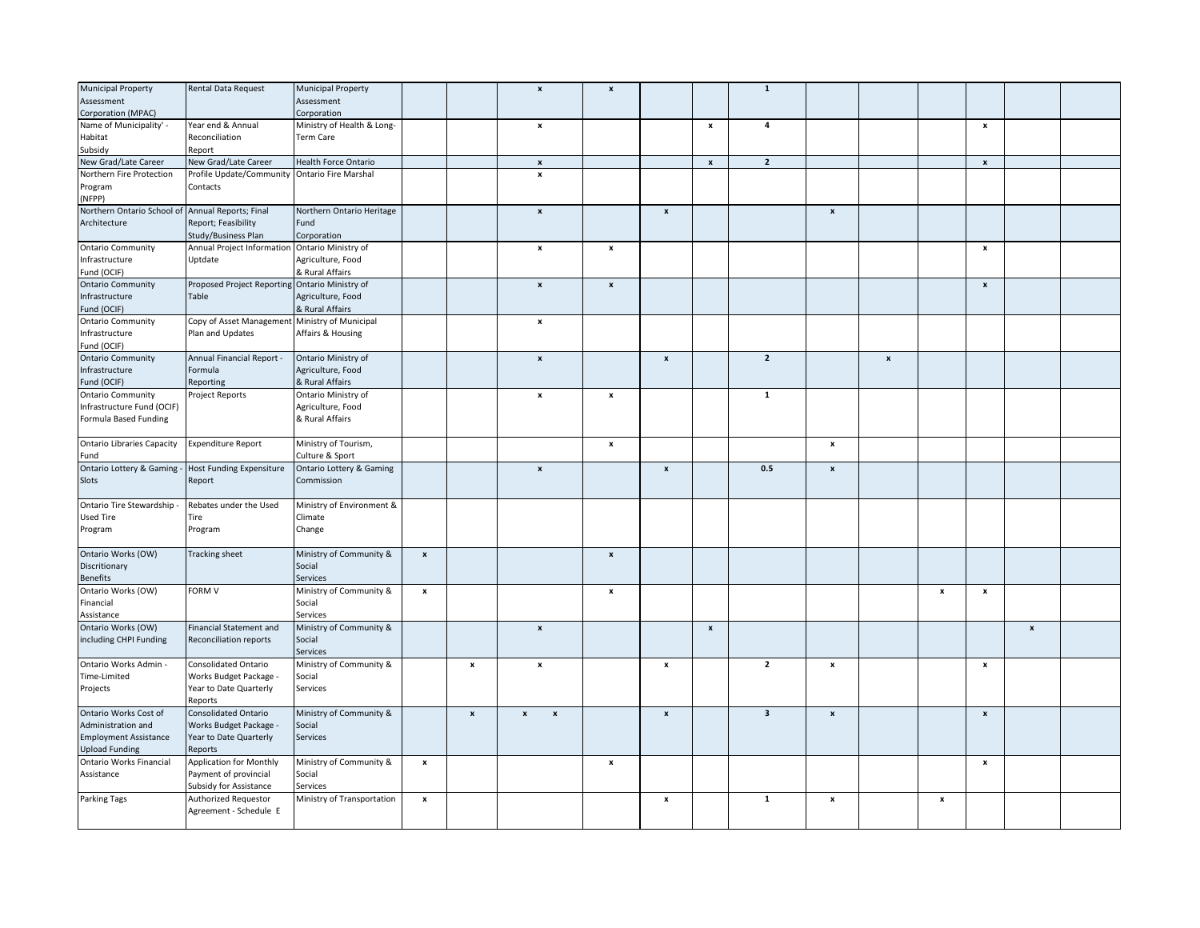| <b>Municipal Property</b>                        | Rental Data Request                            | <b>Municipal Property</b>           |                    |                    | $\pmb{\mathsf{x}}$                              | $\boldsymbol{\mathsf{x}}$ |                           |                           | $\mathbf{1}$            |                    |                    |              |                           |              |  |
|--------------------------------------------------|------------------------------------------------|-------------------------------------|--------------------|--------------------|-------------------------------------------------|---------------------------|---------------------------|---------------------------|-------------------------|--------------------|--------------------|--------------|---------------------------|--------------|--|
|                                                  |                                                |                                     |                    |                    |                                                 |                           |                           |                           |                         |                    |                    |              |                           |              |  |
| Assessment                                       |                                                | Assessment                          |                    |                    |                                                 |                           |                           |                           |                         |                    |                    |              |                           |              |  |
| Corporation (MPAC)                               |                                                | Corporation                         |                    |                    |                                                 |                           |                           |                           |                         |                    |                    |              |                           |              |  |
| Name of Municipality' -                          | Year end & Annual                              | Ministry of Health & Long-          |                    |                    | x                                               |                           |                           | $\pmb{\mathsf{x}}$        | 4                       |                    |                    |              | x                         |              |  |
| Habitat                                          | Reconciliation                                 | Term Care                           |                    |                    |                                                 |                           |                           |                           |                         |                    |                    |              |                           |              |  |
| Subsidy                                          | Report                                         |                                     |                    |                    |                                                 |                           |                           |                           |                         |                    |                    |              |                           |              |  |
|                                                  |                                                |                                     |                    |                    |                                                 |                           |                           |                           |                         |                    |                    |              |                           |              |  |
| New Grad/Late Career                             | New Grad/Late Career                           | Health Force Ontario                |                    |                    | $\boldsymbol{\mathsf{x}}$                       |                           |                           | $\mathbf{x}$              | $\overline{2}$          |                    |                    |              | $\boldsymbol{\mathsf{x}}$ |              |  |
| Northern Fire Protection                         | Profile Update/Community Ontario Fire Marshal  |                                     |                    |                    | $\pmb{\mathsf{x}}$                              |                           |                           |                           |                         |                    |                    |              |                           |              |  |
| Program                                          | Contacts                                       |                                     |                    |                    |                                                 |                           |                           |                           |                         |                    |                    |              |                           |              |  |
| (NFPP)                                           |                                                |                                     |                    |                    |                                                 |                           |                           |                           |                         |                    |                    |              |                           |              |  |
| Northern Ontario School of Annual Reports; Final |                                                | Northern Ontario Heritage           |                    |                    | $\pmb{\mathsf{x}}$                              |                           | $\pmb{\mathsf{x}}$        |                           |                         | $\pmb{\mathsf{x}}$ |                    |              |                           |              |  |
|                                                  |                                                |                                     |                    |                    |                                                 |                           |                           |                           |                         |                    |                    |              |                           |              |  |
| Architecture                                     | Report; Feasibility                            | Fund                                |                    |                    |                                                 |                           |                           |                           |                         |                    |                    |              |                           |              |  |
|                                                  | Study/Business Plan                            | Corporation                         |                    |                    |                                                 |                           |                           |                           |                         |                    |                    |              |                           |              |  |
| <b>Ontario Community</b>                         | Annual Project Information Ontario Ministry of |                                     |                    |                    | $\pmb{\mathsf{x}}$                              | $\pmb{\mathsf{x}}$        |                           |                           |                         |                    |                    |              | $\pmb{\mathsf{x}}$        |              |  |
| Infrastructure                                   | Uptdate                                        | Agriculture, Food                   |                    |                    |                                                 |                           |                           |                           |                         |                    |                    |              |                           |              |  |
|                                                  |                                                |                                     |                    |                    |                                                 |                           |                           |                           |                         |                    |                    |              |                           |              |  |
| Fund (OCIF)                                      |                                                | & Rural Affairs                     |                    |                    |                                                 |                           |                           |                           |                         |                    |                    |              |                           |              |  |
| <b>Ontario Community</b>                         | Proposed Project Reporting Ontario Ministry of |                                     |                    |                    | $\pmb{\mathsf{x}}$                              | $\pmb{\mathsf{x}}$        |                           |                           |                         |                    |                    |              | $\boldsymbol{x}$          |              |  |
| Infrastructure                                   | Table                                          | Agriculture, Food                   |                    |                    |                                                 |                           |                           |                           |                         |                    |                    |              |                           |              |  |
| Fund (OCIF)                                      |                                                | & Rural Affairs                     |                    |                    |                                                 |                           |                           |                           |                         |                    |                    |              |                           |              |  |
| <b>Ontario Community</b>                         | Copy of Asset Management Ministry of Municipal |                                     |                    |                    | $\pmb{\mathsf{x}}$                              |                           |                           |                           |                         |                    |                    |              |                           |              |  |
|                                                  |                                                |                                     |                    |                    |                                                 |                           |                           |                           |                         |                    |                    |              |                           |              |  |
| Infrastructure                                   | Plan and Updates                               | Affairs & Housing                   |                    |                    |                                                 |                           |                           |                           |                         |                    |                    |              |                           |              |  |
| Fund (OCIF)                                      |                                                |                                     |                    |                    |                                                 |                           |                           |                           |                         |                    |                    |              |                           |              |  |
| <b>Ontario Community</b>                         | Annual Financial Report -                      | Ontario Ministry of                 |                    |                    | $\pmb{\mathsf{x}}$                              |                           | $\pmb{\mathsf{x}}$        |                           | $\overline{2}$          |                    | $\pmb{\mathsf{x}}$ |              |                           |              |  |
| Infrastructure                                   | Formula                                        | Agriculture, Food                   |                    |                    |                                                 |                           |                           |                           |                         |                    |                    |              |                           |              |  |
|                                                  |                                                |                                     |                    |                    |                                                 |                           |                           |                           |                         |                    |                    |              |                           |              |  |
| Fund (OCIF)                                      | Reporting                                      | & Rural Affairs                     |                    |                    |                                                 |                           |                           |                           |                         |                    |                    |              |                           |              |  |
| <b>Ontario Community</b>                         | Project Reports                                | Ontario Ministry of                 |                    |                    | x                                               | $\pmb{\mathsf{x}}$        |                           |                           | $\mathbf{1}$            |                    |                    |              |                           |              |  |
| Infrastructure Fund (OCIF)                       |                                                | Agriculture, Food                   |                    |                    |                                                 |                           |                           |                           |                         |                    |                    |              |                           |              |  |
| Formula Based Funding                            |                                                | & Rural Affairs                     |                    |                    |                                                 |                           |                           |                           |                         |                    |                    |              |                           |              |  |
|                                                  |                                                |                                     |                    |                    |                                                 |                           |                           |                           |                         |                    |                    |              |                           |              |  |
|                                                  |                                                |                                     |                    |                    |                                                 |                           |                           |                           |                         |                    |                    |              |                           |              |  |
| <b>Ontario Libraries Capacity</b>                | <b>Expenditure Report</b>                      | Ministry of Tourism,                |                    |                    |                                                 | $\pmb{\mathsf{x}}$        |                           |                           |                         | $\pmb{\mathsf{x}}$ |                    |              |                           |              |  |
| Fund                                             |                                                | Culture & Sport                     |                    |                    |                                                 |                           |                           |                           |                         |                    |                    |              |                           |              |  |
| Ontario Lottery & Gaming                         | <b>Host Funding Expensiture</b>                | <b>Ontario Lottery &amp; Gaming</b> |                    |                    | $\pmb{\mathsf{x}}$                              |                           | $\mathbf{x}$              |                           | 0.5                     | $\pmb{\mathsf{x}}$ |                    |              |                           |              |  |
| Slots                                            | Report                                         | Commission                          |                    |                    |                                                 |                           |                           |                           |                         |                    |                    |              |                           |              |  |
|                                                  |                                                |                                     |                    |                    |                                                 |                           |                           |                           |                         |                    |                    |              |                           |              |  |
|                                                  |                                                |                                     |                    |                    |                                                 |                           |                           |                           |                         |                    |                    |              |                           |              |  |
| Ontario Tire Stewardship -                       | Rebates under the Used                         | Ministry of Environment &           |                    |                    |                                                 |                           |                           |                           |                         |                    |                    |              |                           |              |  |
| Used Tire                                        | Tire                                           | Climate                             |                    |                    |                                                 |                           |                           |                           |                         |                    |                    |              |                           |              |  |
| Program                                          | Program                                        | Change                              |                    |                    |                                                 |                           |                           |                           |                         |                    |                    |              |                           |              |  |
|                                                  |                                                |                                     |                    |                    |                                                 |                           |                           |                           |                         |                    |                    |              |                           |              |  |
|                                                  |                                                |                                     |                    |                    |                                                 |                           |                           |                           |                         |                    |                    |              |                           |              |  |
| Ontario Works (OW)                               | Tracking sheet                                 | Ministry of Community &             | $\boldsymbol{x}$   |                    |                                                 | $\pmb{\mathsf{x}}$        |                           |                           |                         |                    |                    |              |                           |              |  |
| Discritionary                                    |                                                | Social                              |                    |                    |                                                 |                           |                           |                           |                         |                    |                    |              |                           |              |  |
| <b>Benefits</b>                                  |                                                | Services                            |                    |                    |                                                 |                           |                           |                           |                         |                    |                    |              |                           |              |  |
| Ontario Works (OW)                               | FORM V                                         | Ministry of Community &             | $\pmb{\mathsf{x}}$ |                    |                                                 | $\pmb{\mathsf{x}}$        |                           |                           |                         |                    |                    | x            | $\boldsymbol{\mathsf{x}}$ |              |  |
|                                                  |                                                |                                     |                    |                    |                                                 |                           |                           |                           |                         |                    |                    |              |                           |              |  |
| Financial                                        |                                                | Social                              |                    |                    |                                                 |                           |                           |                           |                         |                    |                    |              |                           |              |  |
| Assistance                                       |                                                | Services                            |                    |                    |                                                 |                           |                           |                           |                         |                    |                    |              |                           |              |  |
| Ontario Works (OW)                               | <b>Financial Statement and</b>                 | Ministry of Community &             |                    |                    | $\boldsymbol{\mathsf{x}}$                       |                           |                           | $\boldsymbol{\mathsf{x}}$ |                         |                    |                    |              |                           | $\mathbf{x}$ |  |
| including CHPI Funding                           | Reconciliation reports                         | Social                              |                    |                    |                                                 |                           |                           |                           |                         |                    |                    |              |                           |              |  |
|                                                  |                                                |                                     |                    |                    |                                                 |                           |                           |                           |                         |                    |                    |              |                           |              |  |
|                                                  |                                                | Services                            |                    |                    |                                                 |                           |                           |                           |                         |                    |                    |              |                           |              |  |
| Ontario Works Admin -                            | <b>Consolidated Ontario</b>                    | Ministry of Community &             |                    | x                  | x                                               |                           | $\boldsymbol{\mathsf{x}}$ |                           | $\overline{\mathbf{2}}$ | $\pmb{\times}$     |                    |              | x                         |              |  |
| Time-Limited                                     | Works Budget Package -                         | Social                              |                    |                    |                                                 |                           |                           |                           |                         |                    |                    |              |                           |              |  |
| Projects                                         | Year to Date Quarterly                         | Services                            |                    |                    |                                                 |                           |                           |                           |                         |                    |                    |              |                           |              |  |
|                                                  | Reports                                        |                                     |                    |                    |                                                 |                           |                           |                           |                         |                    |                    |              |                           |              |  |
|                                                  |                                                |                                     |                    |                    |                                                 |                           |                           |                           | $\overline{\mathbf{3}}$ |                    |                    |              |                           |              |  |
| Ontario Works Cost of                            | Consolidated Ontario                           | Ministry of Community &             |                    | $\pmb{\mathsf{x}}$ | $\pmb{\mathsf{x}}$<br>$\boldsymbol{\mathsf{x}}$ |                           | $\pmb{\mathsf{x}}$        |                           |                         | $\pmb{\mathsf{x}}$ |                    |              | $\pmb{\mathsf{x}}$        |              |  |
| Administration and                               | Works Budget Package -                         | Social                              |                    |                    |                                                 |                           |                           |                           |                         |                    |                    |              |                           |              |  |
| <b>Employment Assistance</b>                     | Year to Date Quarterly                         | Services                            |                    |                    |                                                 |                           |                           |                           |                         |                    |                    |              |                           |              |  |
| <b>Upload Funding</b>                            | Reports                                        |                                     |                    |                    |                                                 |                           |                           |                           |                         |                    |                    |              |                           |              |  |
|                                                  |                                                |                                     |                    |                    |                                                 |                           |                           |                           |                         |                    |                    |              |                           |              |  |
| Ontario Works Financial                          | <b>Application for Monthly</b>                 | Ministry of Community &             | $\pmb{\mathsf{x}}$ |                    |                                                 | $\pmb{\mathsf{x}}$        |                           |                           |                         |                    |                    |              | $\pmb{\mathsf{x}}$        |              |  |
| Assistance                                       | Payment of provincial                          | Social                              |                    |                    |                                                 |                           |                           |                           |                         |                    |                    |              |                           |              |  |
|                                                  | Subsidy for Assistance                         | Services                            |                    |                    |                                                 |                           |                           |                           |                         |                    |                    |              |                           |              |  |
| Parking Tags                                     | Authorized Requestor                           | Ministry of Transportation          | $\pmb{\mathsf{x}}$ |                    |                                                 |                           | x                         |                           | $\mathbf{1}$            | $\pmb{\mathsf{x}}$ |                    | $\pmb{\chi}$ |                           |              |  |
|                                                  |                                                |                                     |                    |                    |                                                 |                           |                           |                           |                         |                    |                    |              |                           |              |  |
|                                                  |                                                |                                     |                    |                    |                                                 |                           |                           |                           |                         |                    |                    |              |                           |              |  |
|                                                  | Agreement - Schedule E                         |                                     |                    |                    |                                                 |                           |                           |                           |                         |                    |                    |              |                           |              |  |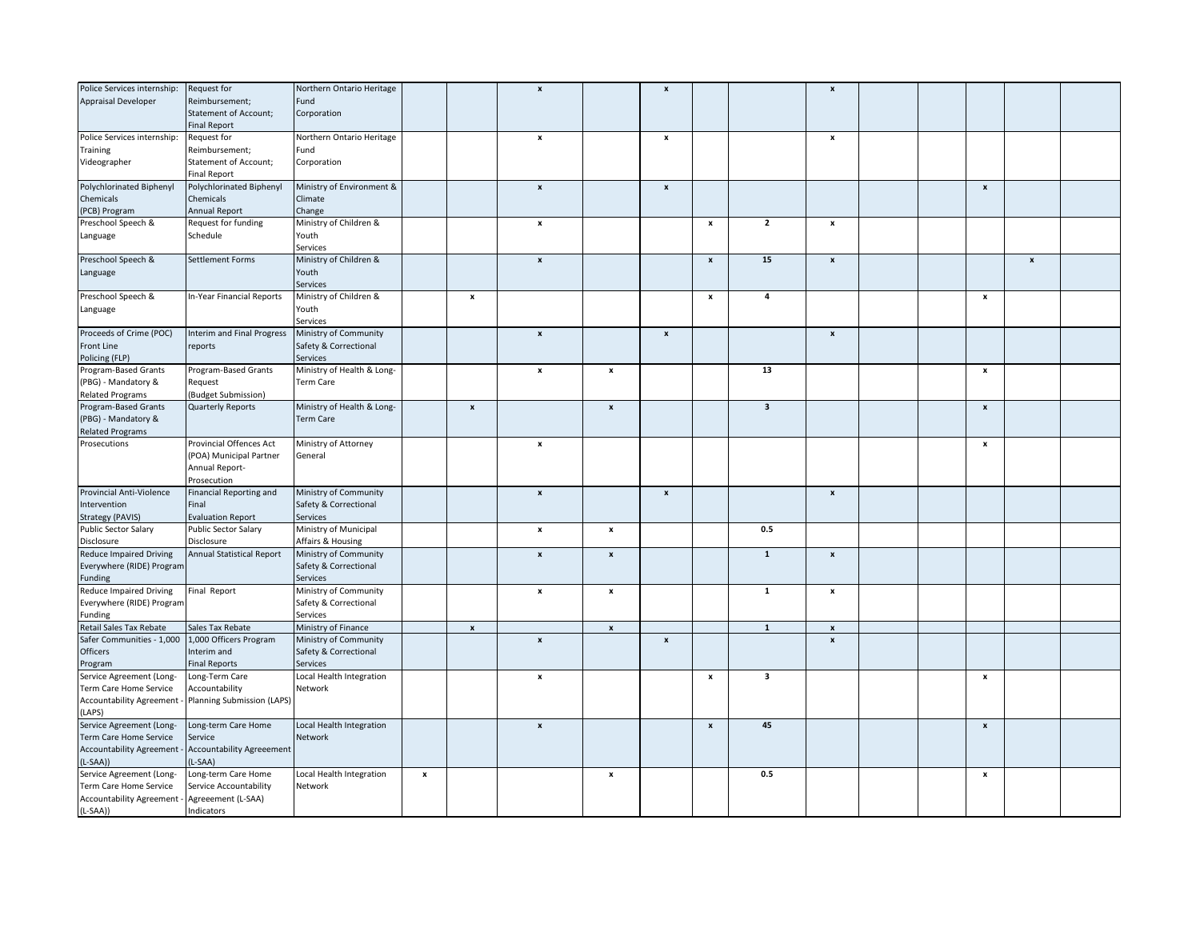| Police Services internship:                        | Request for                                                    | Northern Ontario Heritage               |                    |                    | $\boldsymbol{\mathsf{x}}$ |                           | $\boldsymbol{\mathsf{x}}$ |                    |                         | $\pmb{\mathsf{x}}$ |  |                    |                |  |
|----------------------------------------------------|----------------------------------------------------------------|-----------------------------------------|--------------------|--------------------|---------------------------|---------------------------|---------------------------|--------------------|-------------------------|--------------------|--|--------------------|----------------|--|
| Appraisal Developer                                | Reimbursement;                                                 | Fund                                    |                    |                    |                           |                           |                           |                    |                         |                    |  |                    |                |  |
|                                                    | Statement of Account;                                          | Corporation                             |                    |                    |                           |                           |                           |                    |                         |                    |  |                    |                |  |
|                                                    | <b>Final Report</b>                                            |                                         |                    |                    |                           |                           |                           |                    |                         |                    |  |                    |                |  |
| Police Services internship:                        | <b>Request for</b>                                             | Northern Ontario Heritage               |                    |                    | $\pmb{\mathsf{x}}$        |                           | $\boldsymbol{\mathsf{x}}$ |                    |                         | $\boldsymbol{x}$   |  |                    |                |  |
| Training                                           | Reimbursement;                                                 | Fund                                    |                    |                    |                           |                           |                           |                    |                         |                    |  |                    |                |  |
| Videographer                                       | <b>Statement of Account;</b>                                   | Corporation                             |                    |                    |                           |                           |                           |                    |                         |                    |  |                    |                |  |
|                                                    | <b>Final Report</b>                                            |                                         |                    |                    |                           |                           |                           |                    |                         |                    |  |                    |                |  |
| Polychlorinated Biphenyl                           | Polychlorinated Biphenyl                                       | Ministry of Environment &               |                    |                    | $\pmb{\mathsf{x}}$        |                           | $\boldsymbol{\mathsf{x}}$ |                    |                         |                    |  | $\pmb{\mathsf{x}}$ |                |  |
| Chemicals                                          | Chemicals                                                      | Climate                                 |                    |                    |                           |                           |                           |                    |                         |                    |  |                    |                |  |
| (PCB) Program                                      | <b>Annual Report</b>                                           | Change                                  |                    |                    |                           |                           |                           |                    |                         |                    |  |                    |                |  |
| Preschool Speech &                                 | Request for funding                                            | Ministry of Children &                  |                    |                    | x                         |                           |                           | x                  | $\overline{\mathbf{2}}$ | x                  |  |                    |                |  |
| Language                                           | Schedule                                                       | Youth                                   |                    |                    |                           |                           |                           |                    |                         |                    |  |                    |                |  |
|                                                    |                                                                | Services                                |                    |                    |                           |                           |                           |                    |                         |                    |  |                    |                |  |
| Preschool Speech &                                 | Settlement Forms                                               | Ministry of Children &                  |                    |                    | $\pmb{\mathsf{x}}$        |                           |                           | $\pmb{\mathsf{x}}$ | 15                      | $\pmb{\times}$     |  |                    | $\pmb{\times}$ |  |
| Language                                           |                                                                | Youth                                   |                    |                    |                           |                           |                           |                    |                         |                    |  |                    |                |  |
|                                                    |                                                                | Services                                |                    |                    |                           |                           |                           |                    |                         |                    |  |                    |                |  |
| Preschool Speech &                                 | In-Year Financial Reports                                      | Ministry of Children &                  |                    | x                  |                           |                           |                           | $\pmb{\mathsf{x}}$ | $\pmb{4}$               |                    |  | $\pmb{\mathsf{x}}$ |                |  |
| Language                                           |                                                                | Youth                                   |                    |                    |                           |                           |                           |                    |                         |                    |  |                    |                |  |
|                                                    |                                                                | Services                                |                    |                    |                           |                           |                           |                    |                         |                    |  |                    |                |  |
| Proceeds of Crime (POC)                            | Interim and Final Progress                                     | Ministry of Community                   |                    |                    | $\pmb{\mathsf{x}}$        |                           | $\pmb{\mathsf{x}}$        |                    |                         | $\pmb{\mathsf{x}}$ |  |                    |                |  |
| Front Line                                         | reports                                                        | Safety & Correctional                   |                    |                    |                           |                           |                           |                    |                         |                    |  |                    |                |  |
| Policing (FLP)                                     |                                                                | <b>Services</b>                         |                    |                    |                           |                           |                           |                    |                         |                    |  |                    |                |  |
| Program-Based Grants                               | Program-Based Grants                                           | Ministry of Health & Long-              |                    |                    | $\pmb{\mathsf{x}}$        | $\pmb{\mathsf{x}}$        |                           |                    | 13                      |                    |  | $\pmb{\mathsf{x}}$ |                |  |
| (PBG) - Mandatory &                                | Reauest                                                        | <b>Term Care</b>                        |                    |                    |                           |                           |                           |                    |                         |                    |  |                    |                |  |
| <b>Related Programs</b>                            | (Budget Submission)                                            |                                         |                    |                    |                           |                           |                           |                    |                         |                    |  |                    |                |  |
| Program-Based Grants                               | <b>Quarterly Reports</b>                                       | Ministry of Health & Long-<br>Term Care |                    | $\pmb{\mathsf{x}}$ |                           | $\pmb{\mathsf{x}}$        |                           |                    | $\overline{\mathbf{3}}$ |                    |  | $\pmb{\mathsf{x}}$ |                |  |
| (PBG) - Mandatory &<br><b>Related Programs</b>     |                                                                |                                         |                    |                    |                           |                           |                           |                    |                         |                    |  |                    |                |  |
| Prosecutions                                       | Provincial Offences Act                                        | Ministry of Attorney                    |                    |                    | $\pmb{\mathsf{x}}$        |                           |                           |                    |                         |                    |  | $\pmb{\mathsf{x}}$ |                |  |
|                                                    | (POA) Municipal Partner                                        | General                                 |                    |                    |                           |                           |                           |                    |                         |                    |  |                    |                |  |
|                                                    | Annual Report-                                                 |                                         |                    |                    |                           |                           |                           |                    |                         |                    |  |                    |                |  |
|                                                    | Prosecution                                                    |                                         |                    |                    |                           |                           |                           |                    |                         |                    |  |                    |                |  |
| Provincial Anti-Violence                           | Financial Reporting and                                        | Ministry of Community                   |                    |                    | $\boldsymbol{\mathsf{x}}$ |                           | $\pmb{\mathsf{x}}$        |                    |                         | $\pmb{\mathsf{x}}$ |  |                    |                |  |
| Intervention                                       | Final                                                          | Safety & Correctional                   |                    |                    |                           |                           |                           |                    |                         |                    |  |                    |                |  |
| <b>Strategy (PAVIS)</b>                            | <b>Evaluation Report</b>                                       | Services                                |                    |                    |                           |                           |                           |                    |                         |                    |  |                    |                |  |
| <b>Public Sector Salary</b>                        | <b>Public Sector Salary</b>                                    | Ministry of Municipal                   |                    |                    | $\pmb{\mathsf{x}}$        | $\pmb{\mathsf{x}}$        |                           |                    | 0.5                     |                    |  |                    |                |  |
| Disclosure                                         | Disclosure                                                     | Affairs & Housing                       |                    |                    |                           |                           |                           |                    |                         |                    |  |                    |                |  |
| <b>Reduce Impaired Driving</b>                     | Annual Statistical Report                                      | Ministry of Community                   |                    |                    | $\boldsymbol{\mathsf{x}}$ | $\pmb{\mathsf{x}}$        |                           |                    | $\mathbf 1$             | $\boldsymbol{x}$   |  |                    |                |  |
| Everywhere (RIDE) Program                          |                                                                | Safety & Correctional                   |                    |                    |                           |                           |                           |                    |                         |                    |  |                    |                |  |
| Funding                                            |                                                                | Services                                |                    |                    |                           |                           |                           |                    |                         |                    |  |                    |                |  |
| <b>Reduce Impaired Driving</b>                     | Final Report                                                   | Ministry of Community                   |                    |                    | $\pmb{\mathsf{x}}$        | $\pmb{\mathsf{x}}$        |                           |                    | $\mathbf{1}$            | $\pmb{\times}$     |  |                    |                |  |
| Everywhere (RIDE) Program                          |                                                                | Safety & Correctional                   |                    |                    |                           |                           |                           |                    |                         |                    |  |                    |                |  |
| Funding                                            |                                                                | Services                                |                    |                    |                           |                           |                           |                    |                         |                    |  |                    |                |  |
| Retail Sales Tax Rebate                            | Sales Tax Rebate                                               | Ministry of Finance                     |                    | $\pmb{\mathsf{x}}$ |                           | $\boldsymbol{\mathsf{x}}$ |                           |                    | $\mathbf 1$             | $\boldsymbol{x}$   |  |                    |                |  |
| Safer Communities - 1,000                          | 1,000 Officers Program                                         | Ministry of Community                   |                    |                    | $\pmb{\mathsf{x}}$        |                           | $\pmb{\mathsf{x}}$        |                    |                         | X                  |  |                    |                |  |
| <b>Officers</b>                                    | Interim and                                                    | Safety & Correctional                   |                    |                    |                           |                           |                           |                    |                         |                    |  |                    |                |  |
| Program                                            | <b>Final Reports</b>                                           | Services                                |                    |                    |                           |                           |                           |                    |                         |                    |  |                    |                |  |
| Service Agreement (Long-                           | Long-Term Care                                                 | Local Health Integration                |                    |                    | $\pmb{\mathsf{x}}$        |                           |                           | $\pmb{\mathsf{x}}$ | 3                       |                    |  | $\pmb{\mathsf{x}}$ |                |  |
| Term Care Home Service                             | Accountability                                                 | Network                                 |                    |                    |                           |                           |                           |                    |                         |                    |  |                    |                |  |
|                                                    | Accountability Agreement - Planning Submission (LAPS)          |                                         |                    |                    |                           |                           |                           |                    |                         |                    |  |                    |                |  |
| (LAPS)                                             |                                                                |                                         |                    |                    |                           |                           |                           |                    |                         |                    |  |                    |                |  |
| Service Agreement (Long-                           | Long-term Care Home                                            | Local Health Integration                |                    |                    | $\pmb{\mathsf{x}}$        |                           |                           | $\pmb{\mathsf{x}}$ | 45                      |                    |  | $\pmb{\mathsf{x}}$ |                |  |
| Term Care Home Service                             | Service                                                        | Network                                 |                    |                    |                           |                           |                           |                    |                         |                    |  |                    |                |  |
|                                                    | Accountability Agreement - Accountability Agreeement<br>L-SAA) |                                         |                    |                    |                           |                           |                           |                    |                         |                    |  |                    |                |  |
| $(L-SAA))$                                         |                                                                |                                         |                    |                    |                           |                           |                           |                    | 0.5                     |                    |  |                    |                |  |
| Service Agreement (Long-<br>Term Care Home Service | ong-term Care Home<br>Service Accountability                   | Local Health Integration<br>Network     | $\pmb{\mathsf{x}}$ |                    |                           | $\pmb{\mathsf{x}}$        |                           |                    |                         |                    |  | $\pmb{\mathsf{x}}$ |                |  |
| Accountability Agreement - Agreeement (L-SAA)      |                                                                |                                         |                    |                    |                           |                           |                           |                    |                         |                    |  |                    |                |  |
| $(L-SAA))$                                         | Indicators                                                     |                                         |                    |                    |                           |                           |                           |                    |                         |                    |  |                    |                |  |
|                                                    |                                                                |                                         |                    |                    |                           |                           |                           |                    |                         |                    |  |                    |                |  |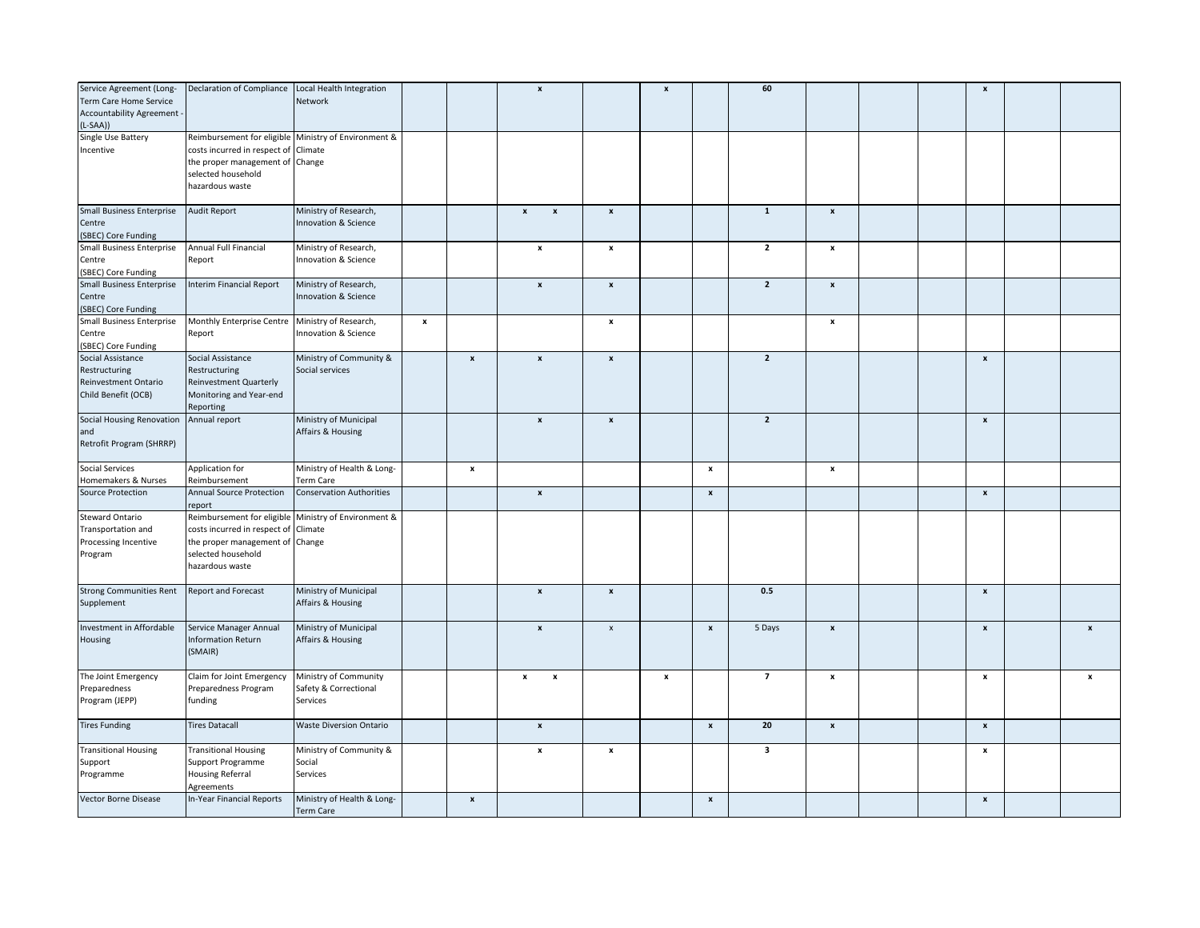| Service Agreement (Long-<br>Term Care Home Service<br>Accountability Agreement -<br>L-SAA)) | Declaration of Compliance Local Health Integration                                                                                                                       | Network                                                    |                    |                    | $\boldsymbol{\mathsf{x}}$                       |                    | $\boldsymbol{\mathsf{x}}$ |                    | 60             |                    |  | $\pmb{\mathsf{x}}$ |                |
|---------------------------------------------------------------------------------------------|--------------------------------------------------------------------------------------------------------------------------------------------------------------------------|------------------------------------------------------------|--------------------|--------------------|-------------------------------------------------|--------------------|---------------------------|--------------------|----------------|--------------------|--|--------------------|----------------|
| Single Use Battery<br>Incentive                                                             | Reimbursement for eligible Ministry of Environment &<br>costs incurred in respect of Climate<br>the proper management of Change<br>selected household<br>hazardous waste |                                                            |                    |                    |                                                 |                    |                           |                    |                |                    |  |                    |                |
| <b>Small Business Enterprise</b><br>Centre<br>(SBEC) Core Funding                           | Audit Report                                                                                                                                                             | Ministry of Research,<br>Innovation & Science              |                    |                    | $\pmb{\mathsf{x}}$<br>$\boldsymbol{\mathsf{x}}$ | $\pmb{\mathsf{x}}$ |                           |                    | $\mathbf 1$    | $\pmb{\mathsf{x}}$ |  |                    |                |
| <b>Small Business Enterprise</b><br>Centre<br>(SBEC) Core Funding                           | Annual Full Financial<br>Report                                                                                                                                          | Ministry of Research,<br>Innovation & Science              |                    |                    | $\pmb{\mathsf{x}}$                              | $\pmb{\mathsf{x}}$ |                           |                    | $\overline{2}$ | $\pmb{\mathsf{x}}$ |  |                    |                |
| <b>Small Business Enterprise</b><br>Centre<br>(SBEC) Core Funding                           | Interim Financial Report                                                                                                                                                 | Ministry of Research,<br>Innovation & Science              |                    |                    | $\boldsymbol{\mathsf{x}}$                       | $\pmb{\mathsf{x}}$ |                           |                    | $\overline{2}$ | $\pmb{\mathsf{x}}$ |  |                    |                |
| <b>Small Business Enterprise</b><br>Centre<br>(SBEC) Core Funding                           | Monthly Enterprise Centre Ministry of Research,<br>Report                                                                                                                | Innovation & Science                                       | $\pmb{\mathsf{x}}$ |                    |                                                 | $\pmb{\mathsf{x}}$ |                           |                    |                | $\pmb{\mathsf{x}}$ |  |                    |                |
| Social Assistance<br>Restructuring<br>Reinvestment Ontario<br>Child Benefit (OCB)           | Social Assistance<br>Restructuring<br><b>Reinvestment Quarterly</b><br>Monitoring and Year-end<br>Reporting                                                              | Ministry of Community &<br>Social services                 |                    | $\pmb{\mathsf{x}}$ | $\pmb{\mathsf{x}}$                              | $\pmb{\mathsf{x}}$ |                           |                    | $\overline{2}$ |                    |  | $\pmb{\mathsf{x}}$ |                |
| Social Housing Renovation<br>and<br>Retrofit Program (SHRRP)                                | Annual report                                                                                                                                                            | Ministry of Municipal<br>Affairs & Housing                 |                    |                    | $\boldsymbol{\mathsf{x}}$                       | $\pmb{\mathsf{x}}$ |                           |                    | $\overline{2}$ |                    |  | $\pmb{\mathsf{x}}$ |                |
| Social Services<br>Homemakers & Nurses                                                      | Application for<br>Reimbursement                                                                                                                                         | Ministry of Health & Long-<br>Term Care                    |                    | $\pmb{\mathsf{x}}$ |                                                 |                    |                           | $\pmb{\mathsf{x}}$ |                | $\pmb{\mathsf{x}}$ |  |                    |                |
| Source Protection                                                                           | <b>Annual Source Protection</b><br>report                                                                                                                                | <b>Conservation Authorities</b>                            |                    |                    | $\boldsymbol{x}$                                |                    |                           | $\pmb{\mathsf{x}}$ |                |                    |  | $\pmb{\mathsf{x}}$ |                |
| Steward Ontario<br>Transportation and<br>Processing Incentive<br>Program                    | Reimbursement for eligible Ministry of Environment &<br>costs incurred in respect of Climate<br>the proper management of Change<br>selected household<br>hazardous waste |                                                            |                    |                    |                                                 |                    |                           |                    |                |                    |  |                    |                |
| <b>Strong Communities Rent</b><br>Supplement                                                | Report and Forecast                                                                                                                                                      | Ministry of Municipal<br>Affairs & Housing                 |                    |                    | $\pmb{\mathsf{x}}$                              | $\pmb{\mathsf{x}}$ |                           |                    | $0.5\,$        |                    |  | $\pmb{\mathsf{x}}$ |                |
| Investment in Affordable<br>Housing                                                         | Service Manager Annual<br><b>Information Return</b><br>(SMAIR)                                                                                                           | Ministry of Municipal<br>Affairs & Housing                 |                    |                    | $\pmb{\mathsf{x}}$                              | $\pmb{\times}$     |                           | $\pmb{\mathsf{x}}$ | 5 Days         | $\pmb{\mathsf{x}}$ |  | $\pmb{\mathsf{x}}$ | $\pmb{\times}$ |
| The Joint Emergency<br>Preparedness<br>Program (JEPP)                                       | Claim for Joint Emergency<br>Preparedness Program<br>funding                                                                                                             | Ministry of Community<br>Safety & Correctional<br>Services |                    |                    | $\boldsymbol{x}$<br>$\pmb{\mathsf{x}}$          |                    | $\boldsymbol{\mathsf{x}}$ |                    | $\overline{7}$ | $\pmb{\mathsf{x}}$ |  | $\pmb{\mathsf{x}}$ | $\pmb{\times}$ |
| <b>Tires Funding</b>                                                                        | <b>Tires Datacall</b>                                                                                                                                                    | <b>Waste Diversion Ontario</b>                             |                    |                    | $\pmb{\mathsf{x}}$                              |                    |                           | $\boldsymbol{x}$   | 20             | $\pmb{\mathsf{x}}$ |  | $\mathbf{x}$       |                |
| <b>Transitional Housing</b><br>Support<br>Programme                                         | <b>Transitional Housing</b><br>Support Programme<br>Housing Referral<br>Agreements                                                                                       | Ministry of Community &<br>Social<br>Services              |                    |                    | $\pmb{\mathsf{x}}$                              | $\pmb{\mathsf{x}}$ |                           |                    | 3              |                    |  | $\pmb{\mathsf{x}}$ |                |
| <b>Vector Borne Disease</b>                                                                 | In-Year Financial Reports                                                                                                                                                | Ministry of Health & Long-<br>Term Care                    |                    | $\pmb{\mathsf{x}}$ |                                                 |                    |                           | $\pmb{\mathsf{x}}$ |                |                    |  | $\pmb{\mathsf{x}}$ |                |